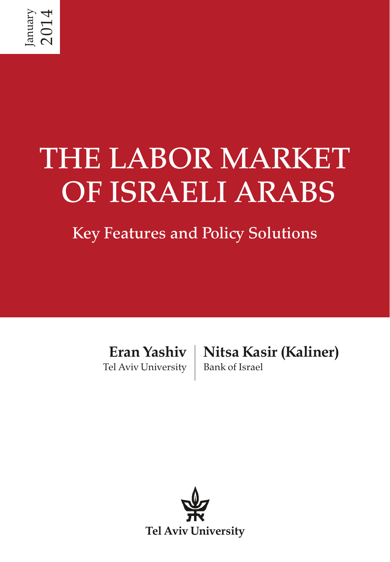# THE LABOR MARKET OF ISRAELI ARABS

## Key Features and Policy Solutions

Eran Yashiv Tel Aviv University

Nitsa Kasir (Kaliner) Bank of Israel

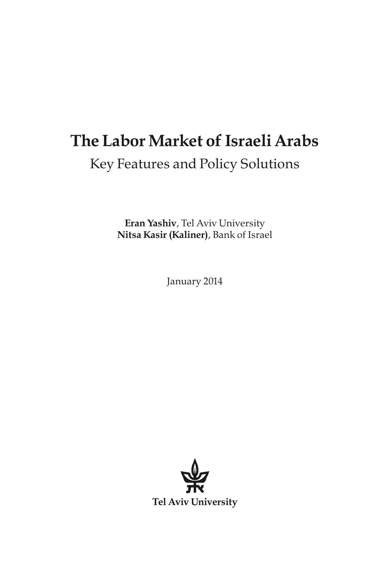### The Labor Market of Israeli Arabs Key Features and Policy Solutions

Eran Yashiv, Tel Aviv University Nitsa Kasir (Kaliner), Bank of Israel

January 2014

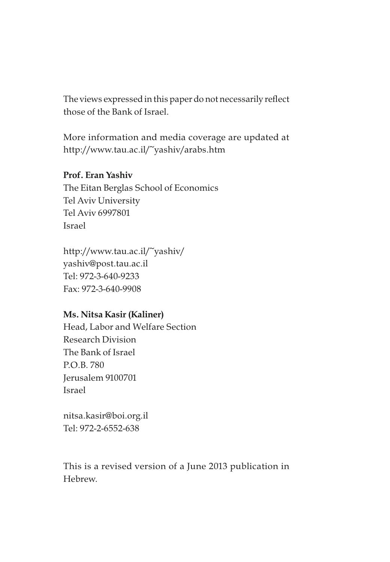The views expressed in this paper do not necessarily reflect those of the Bank of Israel.

More information and media coverage are updated at http://www.tau.ac.il/~yashiv/arabs.htm

#### Prof. Eran Yashiv

The Eitan Berglas School of Economics Tel Aviv University Tel Aviv 6997801 Israel

http://www.tau.ac.il/~yashiv/ yashiv@post.tau.ac.il Tel: 972-3-640-9233 Fax: 972-3-640-9908

#### Ms. Nitsa Kasir (Kaliner)

Head, Labor and Welfare Section Research Division The Bank of Israel P.O.B. 780 Jerusalem 9100701 Israel

nitsa.kasir@boi.org.il Tel: 972-2-6552-638

This is a revised version of a June 2013 publication in Hebrew.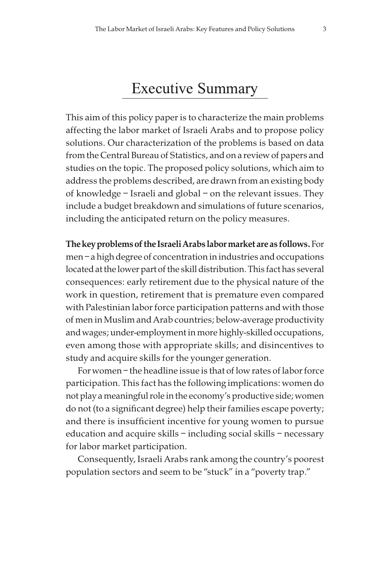### Executive Summary

This aim of this policy paper is to characterize the main problems affecting the labor market of Israeli Arabs and to propose policy solutions. Our characterization of the problems is based on data from the Central Bureau of Statistics, and on a review of papers and studies on the topic. The proposed policy solutions, which aim to address the problems described, are drawn from an existing body of knowledge – Israeli and global – on the relevant issues. They include a budget breakdown and simulations of future scenarios, including the anticipated return on the policy measures.

The key problems of the Israeli Arabs labor market are as follows. For men – a high degree of concentration in industries and occupations located at the lower part of the skill distribution. This fact has several consequences: early retirement due to the physical nature of the work in question, retirement that is premature even compared with Palestinian labor force participation patterns and with those of men in Muslim and Arab countries; below-average productivity and wages; under-employment in more highly-skilled occupations, even among those with appropriate skills; and disincentives to study and acquire skills for the younger generation.

For women – the headline issue is that of low rates of labor force participation. This fact has the following implications: women do not play a meaningful role in the economy's productive side; women do not (to a significant degree) help their families escape poverty; and there is insufficient incentive for young women to pursue education and acquire skills – including social skills – necessary for labor market participation.

Consequently, Israeli Arabs rank among the country's poorest population sectors and seem to be "stuck" in a "poverty trap."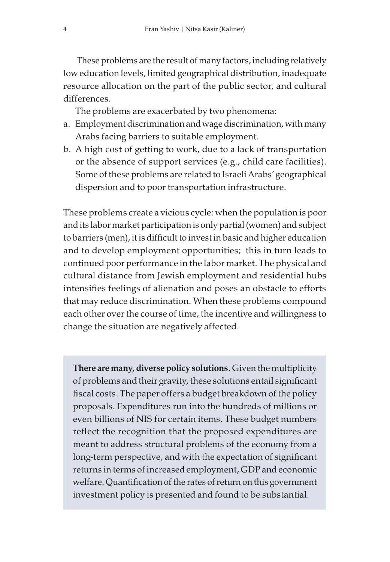These problems are the result of many factors, including relatively low education levels, limited geographical distribution, inadequate resource allocation on the part of the public sector, and cultural differences.

The problems are exacerbated by two phenomena:

- a. Employment discrimination and wage discrimination, with many Arabs facing barriers to suitable employment.
- b. A high cost of getting to work, due to a lack of transportation or the absence of support services (e.g., child care facilities). Some of these problems are related to Israeli Arabs' geographical dispersion and to poor transportation infrastructure.

These problems create a vicious cycle: when the population is poor and its labor market participation is only partial (women) and subject to barriers (men), it is difficult to invest in basic and higher education and to develop employment opportunities; this in turn leads to continued poor performance in the labor market. The physical and cultural distance from Jewish employment and residential hubs intensifies feelings of alienation and poses an obstacle to efforts that may reduce discrimination. When these problems compound each other over the course of time, the incentive and willingness to change the situation are negatively affected.

There are many, diverse policy solutions. Given the multiplicity of problems and their gravity, these solutions entail significant fiscal costs. The paper offers a budget breakdown of the policy proposals. Expenditures run into the hundreds of millions or even billions of NIS for certain items. These budget numbers reflect the recognition that the proposed expenditures are meant to address structural problems of the economy from a long-term perspective, and with the expectation of significant returns in terms of increased employment, GDP and economic welfare. Quantification of the rates of return on this government investment policy is presented and found to be substantial.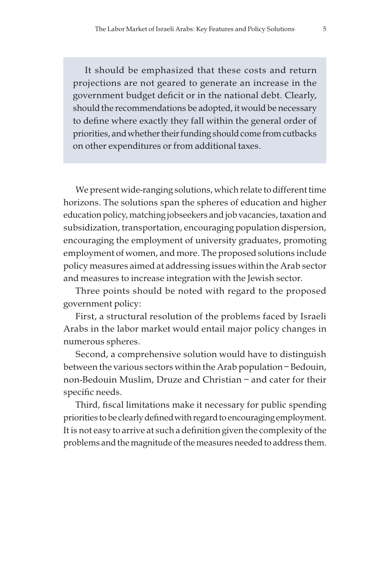It should be emphasized that these costs and return projections are not geared to generate an increase in the government budget deficit or in the national debt. Clearly, should the recommendations be adopted, it would be necessary to define where exactly they fall within the general order of priorities, and whether their funding should come from cutbacks on other expenditures or from additional taxes.

We present wide-ranging solutions, which relate to different time horizons. The solutions span the spheres of education and higher education policy, matching jobseekers and job vacancies, taxation and subsidization, transportation, encouraging population dispersion, encouraging the employment of university graduates, promoting employment of women, and more. The proposed solutions include policy measures aimed at addressing issues within the Arab sector and measures to increase integration with the Jewish sector.

Three points should be noted with regard to the proposed government policy:

First, a structural resolution of the problems faced by Israeli Arabs in the labor market would entail major policy changes in numerous spheres.

Second, a comprehensive solution would have to distinguish between the various sectors within the Arab population – Bedouin, non-Bedouin Muslim, Druze and Christian – and cater for their specific needs.

Third, fiscal limitations make it necessary for public spending priorities to be clearly defined with regard to encouraging employment. It is not easy to arrive at such a definition given the complexity of the problems and the magnitude of the measures needed to address them.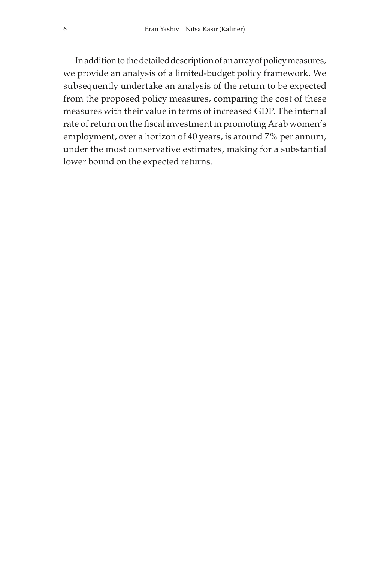In addition to the detailed description of an array of policy measures, we provide an analysis of a limited-budget policy framework. We subsequently undertake an analysis of the return to be expected from the proposed policy measures, comparing the cost of these measures with their value in terms of increased GDP. The internal rate of return on the fiscal investment in promoting Arab women's employment, over a horizon of 40 years, is around 7% per annum, under the most conservative estimates, making for a substantial lower bound on the expected returns.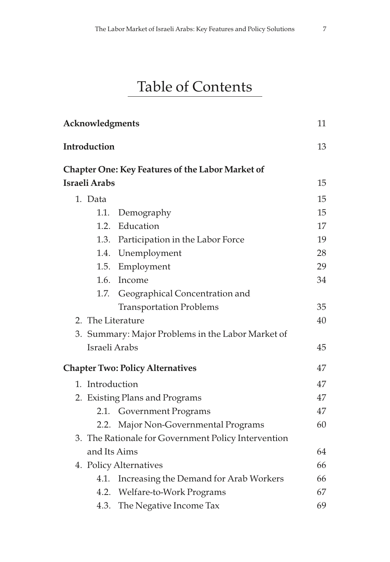### Table of Contents

| Acknowledgments      |                                                         | 11 |
|----------------------|---------------------------------------------------------|----|
| Introduction         |                                                         | 13 |
|                      | <b>Chapter One: Key Features of the Labor Market of</b> |    |
| <b>Israeli Arabs</b> |                                                         | 15 |
| 1. Data              |                                                         | 15 |
| 1.1.                 | Demography                                              | 15 |
| 1.2.                 | Education                                               | 17 |
|                      | 1.3. Participation in the Labor Force                   | 19 |
|                      | 1.4. Unemployment                                       | 28 |
|                      | 1.5. Employment                                         | 29 |
|                      | 1.6. Income                                             | 34 |
| 1.7.                 | Geographical Concentration and                          |    |
|                      | <b>Transportation Problems</b>                          | 35 |
|                      | 2. The Literature                                       | 40 |
|                      | 3. Summary: Major Problems in the Labor Market of       |    |
| Israeli Arabs        |                                                         | 45 |
|                      | <b>Chapter Two: Policy Alternatives</b>                 | 47 |
| 1. Introduction      |                                                         | 47 |
|                      | 2. Existing Plans and Programs                          | 47 |
| 2.1.                 | <b>Government Programs</b>                              | 47 |
| 2.2.                 | Major Non-Governmental Programs                         | 60 |
|                      | 3. The Rationale for Government Policy Intervention     |    |
| and Its Aims         |                                                         | 64 |
|                      | 4. Policy Alternatives                                  | 66 |
| 4.1.                 | Increasing the Demand for Arab Workers                  | 66 |
|                      | 4.2. Welfare-to-Work Programs                           | 67 |
| 4.3.                 | The Negative Income Tax                                 | 69 |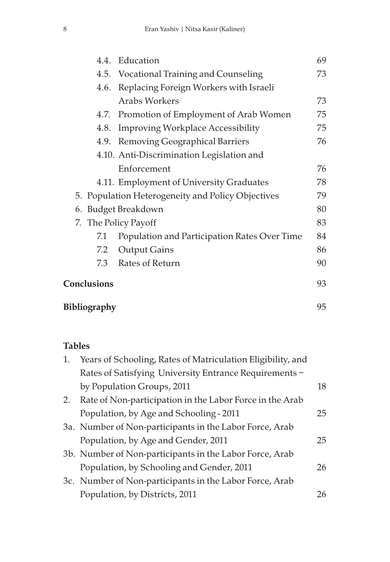|                     | 4.4. Education                                    | 69 |
|---------------------|---------------------------------------------------|----|
|                     | 4.5. Vocational Training and Counseling           | 73 |
| 4.6.                | Replacing Foreign Workers with Israeli            |    |
|                     | <b>Arabs Workers</b>                              | 73 |
| 4.7.                | Promotion of Employment of Arab Women             | 75 |
| 4.8.                | <b>Improving Workplace Accessibility</b>          | 75 |
|                     | 4.9. Removing Geographical Barriers               | 76 |
|                     | 4.10. Anti-Discrimination Legislation and         |    |
|                     | Enforcement                                       | 76 |
|                     | 4.11. Employment of University Graduates          | 78 |
|                     | 5. Population Heterogeneity and Policy Objectives | 79 |
|                     | 6. Budget Breakdown                               | 80 |
|                     | 7. The Policy Payoff                              | 83 |
| 7.1                 | Population and Participation Rates Over Time      | 84 |
| 7.2                 | Output Gains                                      | 86 |
|                     | 7.3 Rates of Return                               | 90 |
| Conclusions         |                                                   | 93 |
| <b>Bibliography</b> |                                                   | 95 |

#### Tables

| 1. | Years of Schooling, Rates of Matriculation Eligibility, and |    |
|----|-------------------------------------------------------------|----|
|    | Rates of Satisfying University Entrance Requirements -      |    |
|    | by Population Groups, 2011                                  | 18 |
| 2. | Rate of Non-participation in the Labor Force in the Arab    |    |
|    | Population, by Age and Schooling - 2011                     | 25 |
|    | 3a. Number of Non-participants in the Labor Force, Arab     |    |
|    | Population, by Age and Gender, 2011                         | 25 |
|    | 3b. Number of Non-participants in the Labor Force, Arab     |    |
|    | Population, by Schooling and Gender, 2011                   | 26 |
|    | 3c. Number of Non-participants in the Labor Force, Arab     |    |
|    | Population, by Districts, 2011                              | 26 |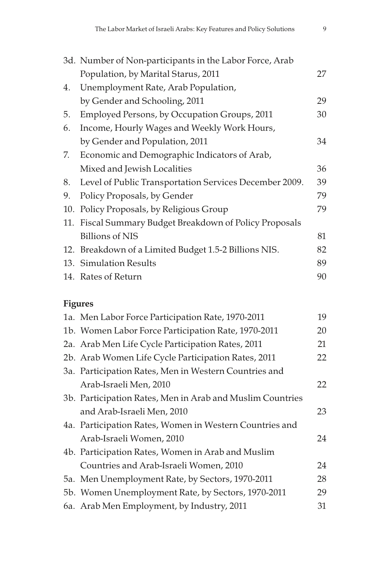|     | 3d. Number of Non-participants in the Labor Force, Arab |    |  |  |  |  |
|-----|---------------------------------------------------------|----|--|--|--|--|
|     | Population, by Marital Starus, 2011                     | 27 |  |  |  |  |
| 4.  | Unemployment Rate, Arab Population,                     |    |  |  |  |  |
|     | by Gender and Schooling, 2011                           | 29 |  |  |  |  |
| 5.  | Employed Persons, by Occupation Groups, 2011            | 30 |  |  |  |  |
| 6.  | Income, Hourly Wages and Weekly Work Hours,             |    |  |  |  |  |
|     | by Gender and Population, 2011                          | 34 |  |  |  |  |
| 7.  | Economic and Demographic Indicators of Arab,            |    |  |  |  |  |
|     | Mixed and Jewish Localities                             | 36 |  |  |  |  |
| 8.  | Level of Public Transportation Services December 2009.  | 39 |  |  |  |  |
| 9.  | Policy Proposals, by Gender                             | 79 |  |  |  |  |
| 10. | Policy Proposals, by Religious Group                    | 79 |  |  |  |  |
|     | 11. Fiscal Summary Budget Breakdown of Policy Proposals |    |  |  |  |  |
|     | <b>Billions of NIS</b>                                  | 81 |  |  |  |  |
|     | 12. Breakdown of a Limited Budget 1.5-2 Billions NIS.   | 82 |  |  |  |  |
|     | 13. Simulation Results                                  | 89 |  |  |  |  |
|     | 14. Rates of Return                                     | 90 |  |  |  |  |

#### Figures

| 1a. Men Labor Force Participation Rate, 1970-2011         | 19 |
|-----------------------------------------------------------|----|
| 1b. Women Labor Force Participation Rate, 1970-2011       | 20 |
| 2a. Arab Men Life Cycle Participation Rates, 2011         | 21 |
| 2b. Arab Women Life Cycle Participation Rates, 2011       | 22 |
| 3a. Participation Rates, Men in Western Countries and     |    |
| Arab-Israeli Men, 2010                                    | 22 |
| 3b. Participation Rates, Men in Arab and Muslim Countries |    |
| and Arab-Israeli Men, 2010                                | 23 |
| 4a. Participation Rates, Women in Western Countries and   |    |
| Arab-Israeli Women, 2010                                  | 24 |
| 4b. Participation Rates, Women in Arab and Muslim         |    |
| Countries and Arab-Israeli Women, 2010                    | 24 |
| 5a. Men Unemployment Rate, by Sectors, 1970-2011          | 28 |
| 5b. Women Unemployment Rate, by Sectors, 1970-2011        | 29 |
| 6a. Arab Men Employment, by Industry, 2011                | 31 |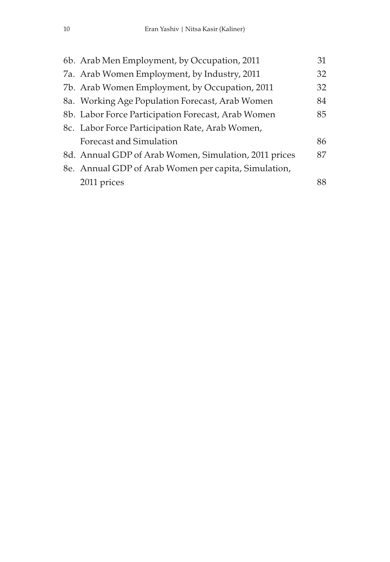| 6b. Arab Men Employment, by Occupation, 2011          | 31 |
|-------------------------------------------------------|----|
| 7a. Arab Women Employment, by Industry, 2011          | 32 |
| 7b. Arab Women Employment, by Occupation, 2011        | 32 |
| 8a. Working Age Population Forecast, Arab Women       | 84 |
| 8b. Labor Force Participation Forecast, Arab Women    | 85 |
| 8c. Labor Force Participation Rate, Arab Women,       |    |
| Forecast and Simulation                               | 86 |
| 8d. Annual GDP of Arab Women, Simulation, 2011 prices | 87 |
| 8e. Annual GDP of Arab Women per capita, Simulation,  |    |
| 2011 prices                                           | 88 |
|                                                       |    |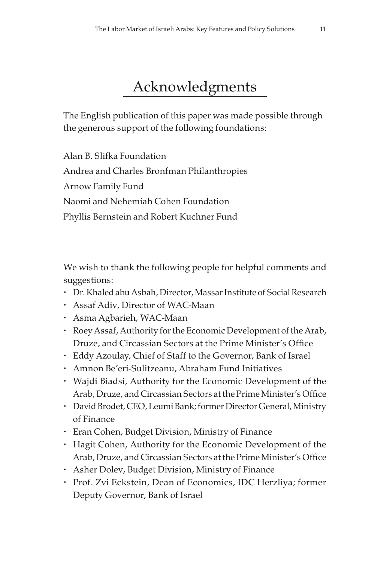### Acknowledgments

The English publication of this paper was made possible through the generous support of the following foundations:

Alan B. Slifka Foundation Andrea and Charles Bronfman Philanthropies Arnow Family Fund Naomi and Nehemiah Cohen Foundation Phyllis Bernstein and Robert Kuchner Fund

We wish to thank the following people for helpful comments and suggestions:

- Dr. Khaled abu Asbah, Director, Massar Institute of Social Research
- Assaf Adiv, Director of WAC-Maan
- Asma Agbarieh, WAC-Maan
- Roey Assaf, Authority for the Economic Development of the Arab, Druze, and Circassian Sectors at the Prime Minister's Office
- Eddy Azoulay, Chief of Staff to the Governor, Bank of Israel
- Amnon Be'eri-Sulitzeanu, Abraham Fund Initiatives
- Wajdi Biadsi, Authority for the Economic Development of the Arab, Druze, and Circassian Sectors at the Prime Minister's Office
- David Brodet, CEO, Leumi Bank; former Director General, Ministry of Finance
- Eran Cohen, Budget Division, Ministry of Finance
- Hagit Cohen, Authority for the Economic Development of the Arab, Druze, and Circassian Sectors at the Prime Minister's Office
- Asher Dolev, Budget Division, Ministry of Finance
- Prof. Zvi Eckstein, Dean of Economics, IDC Herzliya; former Deputy Governor, Bank of Israel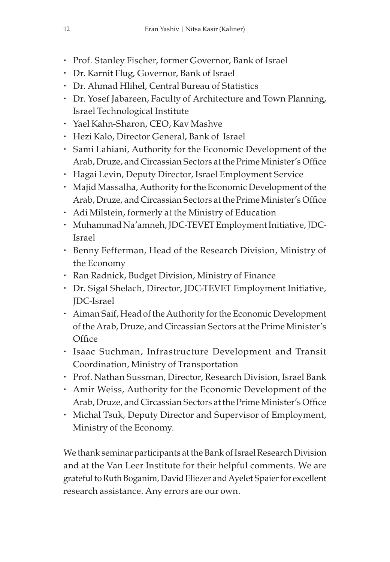- Prof. Stanley Fischer, former Governor, Bank of Israel
- Dr. Karnit Flug, Governor, Bank of Israel
- Dr. Ahmad Hlihel, Central Bureau of Statistics
- Dr. Yosef Jabareen, Faculty of Architecture and Town Planning, Israel Technological Institute
- Yael Kahn-Sharon, CEO, Kav Mashve
- Hezi Kalo, Director General, Bank of Israel
- Sami Lahiani, Authority for the Economic Development of the Arab, Druze, and Circassian Sectors at the Prime Minister's Office
- Hagai Levin, Deputy Director, Israel Employment Service
- Majid Massalha, Authority for the Economic Development of the Arab, Druze, and Circassian Sectors at the Prime Minister's Office
- Adi Milstein, formerly at the Ministry of Education
- Muhammad Na'amneh, JDC-TEVET Employment Initiative, JDC-Israel
- Benny Fefferman, Head of the Research Division, Ministry of the Economy
- Ran Radnick, Budget Division, Ministry of Finance
- Dr. Sigal Shelach, Director, JDC-TEVET Employment Initiative, JDC-Israel
- Aiman Saif, Head of the Authority for the Economic Development of the Arab, Druze, and Circassian Sectors at the Prime Minister's **Office**
- Isaac Suchman, Infrastructure Development and Transit Coordination, Ministry of Transportation
- Prof. Nathan Sussman, Director, Research Division, Israel Bank
- Amir Weiss, Authority for the Economic Development of the Arab, Druze, and Circassian Sectors at the Prime Minister's Office
- Michal Tsuk, Deputy Director and Supervisor of Employment, Ministry of the Economy.

We thank seminar participants at the Bank of Israel Research Division and at the Van Leer Institute for their helpful comments. We are grateful to Ruth Boganim, David Eliezer and Ayelet Spaier for excellent research assistance. Any errors are our own.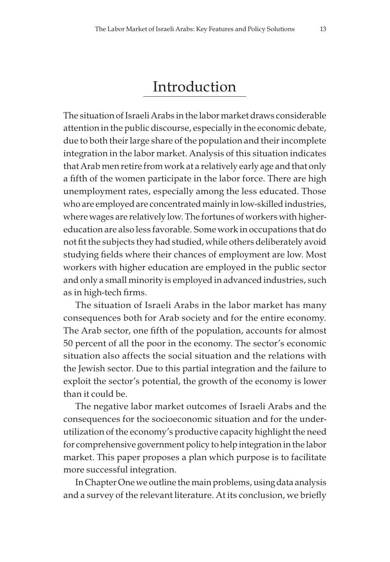### Introduction

The situation of Israeli Arabs in the labor market draws considerable attention in the public discourse, especially in the economic debate, due to both their large share of the population and their incomplete integration in the labor market. Analysis of this situation indicates that Arab men retire from work at a relatively early age and that only a fifth of the women participate in the labor force. There are high unemployment rates, especially among the less educated. Those who are employed are concentrated mainly in low-skilled industries, where wages are relatively low. The fortunes of workers with highereducation are also less favorable. Some work in occupations that do not fit the subjects they had studied, while others deliberately avoid studying fields where their chances of employment are low. Most workers with higher education are employed in the public sector and only a small minority is employed in advanced industries, such as in high-tech firms.

The situation of Israeli Arabs in the labor market has many consequences both for Arab society and for the entire economy. The Arab sector, one fifth of the population, accounts for almost 50 percent of all the poor in the economy. The sector's economic situation also affects the social situation and the relations with the Jewish sector. Due to this partial integration and the failure to exploit the sector's potential, the growth of the economy is lower than it could be.

The negative labor market outcomes of Israeli Arabs and the consequences for the socioeconomic situation and for the underutilization of the economy's productive capacity highlight the need for comprehensive government policy to help integration in the labor market. This paper proposes a plan which purpose is to facilitate more successful integration.

In Chapter One we outline the main problems, using data analysis and a survey of the relevant literature. At its conclusion, we briefly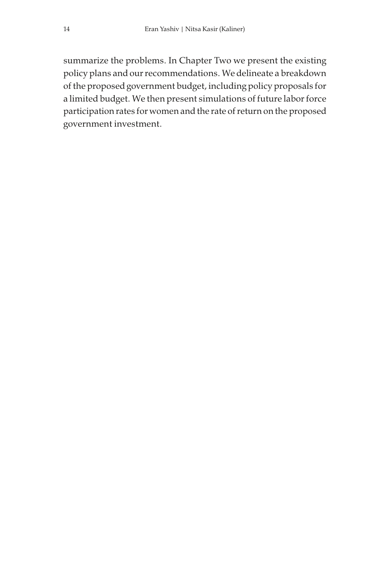summarize the problems. In Chapter Two we present the existing policy plans and our recommendations. We delineate a breakdown of the proposed government budget, including policy proposals for a limited budget. We then present simulations of future labor force participation rates for women and the rate of return on the proposed government investment.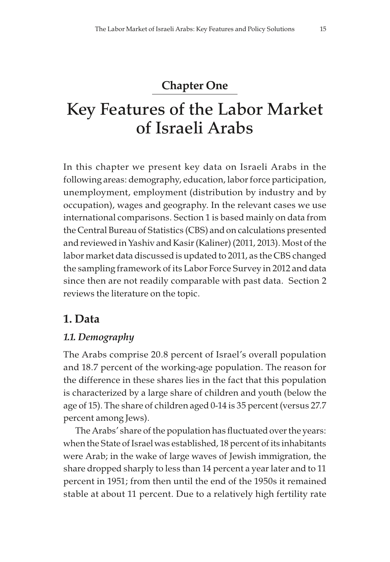#### Chapter One

### Key Features of the Labor Market of Israeli Arabs

In this chapter we present key data on Israeli Arabs in the following areas: demography, education, labor force participation, unemployment, employment (distribution by industry and by occupation), wages and geography. In the relevant cases we use international comparisons. Section 1 is based mainly on data from the Central Bureau of Statistics (CBS) and on calculations presented and reviewed in Yashiv and Kasir (Kaliner) (2011, 2013). Most of the labor market data discussed is updated to 2011, as the CBS changed the sampling framework of its Labor Force Survey in 2012 and data since then are not readily comparable with past data. Section 2 reviews the literature on the topic.

#### 1. Data

#### 1.1. Demography

The Arabs comprise 20.8 percent of Israel's overall population and 18.7 percent of the working-age population. The reason for the difference in these shares lies in the fact that this population is characterized by a large share of children and youth (below the age of 15). The share of children aged 0-14 is 35 percent (versus 27.7 percent among Jews).

The Arabs' share of the population has fluctuated over the years: when the State of Israel was established, 18 percent of its inhabitants were Arab; in the wake of large waves of Jewish immigration, the share dropped sharply to less than 14 percent a year later and to 11 percent in 1951; from then until the end of the 1950s it remained stable at about 11 percent. Due to a relatively high fertility rate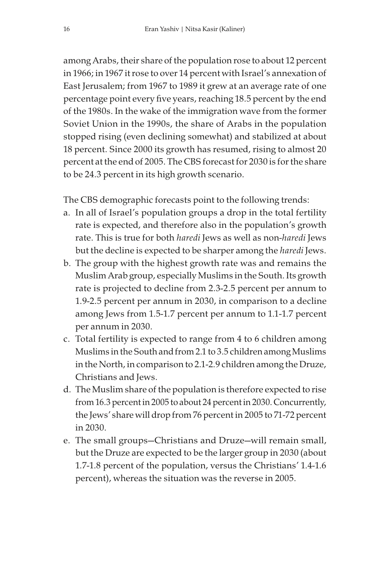among Arabs, their share of the population rose to about 12 percent in 1966; in 1967 it rose to over 14 percent with Israel's annexation of East Jerusalem; from 1967 to 1989 it grew at an average rate of one percentage point every five years, reaching 18.5 percent by the end of the 1980s. In the wake of the immigration wave from the former Soviet Union in the 1990s, the share of Arabs in the population stopped rising (even declining somewhat) and stabilized at about 18 percent. Since 2000 its growth has resumed, rising to almost 20 percent at the end of 2005. The CBS forecast for 2030 is for the share to be 24.3 percent in its high growth scenario.

The CBS demographic forecasts point to the following trends:

- a. In all of Israel's population groups a drop in the total fertility rate is expected, and therefore also in the population's growth rate. This is true for both haredi Jews as well as non-haredi Jews but the decline is expected to be sharper among the haredi Jews.
- b. The group with the highest growth rate was and remains the Muslim Arab group, especially Muslims in the South. Its growth rate is projected to decline from 2.3-2.5 percent per annum to 1.9-2.5 percent per annum in 2030, in comparison to a decline among Jews from 1.5-1.7 percent per annum to 1.1-1.7 percent per annum in 2030.
- c. Total fertility is expected to range from 4 to 6 children among Muslims in the South and from 2.1 to 3.5 children among Muslims in the North, in comparison to 2.1-2.9 children among the Druze, Christians and Jews.
- d. The Muslim share of the population is therefore expected to rise from 16.3 percent in 2005 to about 24 percent in 2030. Concurrently, the Jews' share will drop from 76 percent in 2005 to 71-72 percent in 2030.
- e. The small groups—Christians and Druze—will remain small, but the Druze are expected to be the larger group in 2030 (about 1.7-1.8 percent of the population, versus the Christians' 1.4-1.6 percent), whereas the situation was the reverse in 2005.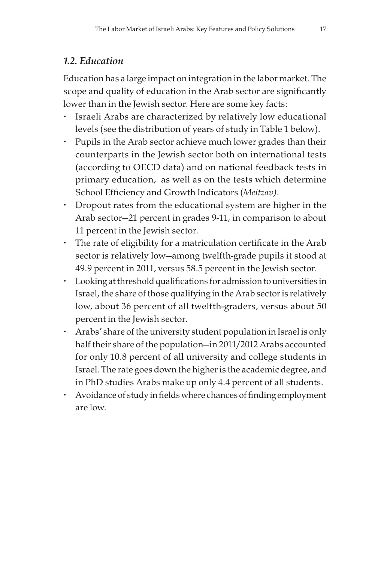#### 1.2. Education

Education has a large impact on integration in the labor market. The scope and quality of education in the Arab sector are significantly lower than in the Jewish sector. Here are some key facts:

- Israeli Arabs are characterized by relatively low educational levels (see the distribution of years of study in Table 1 below).
- Pupils in the Arab sector achieve much lower grades than their counterparts in the Jewish sector both on international tests (according to OECD data) and on national feedback tests in primary education, as well as on the tests which determine School Efficiency and Growth Indicators (Meitzav).
- Dropout rates from the educational system are higher in the Arab sector—21 percent in grades 9-11, in comparison to about 11 percent in the Jewish sector.
- The rate of eligibility for a matriculation certificate in the Arab sector is relatively low—among twelfth-grade pupils it stood at 49.9 percent in 2011, versus 58.5 percent in the Jewish sector.
- Looking at threshold qualifications for admission to universities in Israel, the share of those qualifying in the Arab sector is relatively low, about 36 percent of all twelfth-graders, versus about 50 percent in the Jewish sector.
- Arabs' share of the university student population in Israel is only half their share of the population—in 2011/2012 Arabs accounted for only 10.8 percent of all university and college students in Israel. The rate goes down the higher is the academic degree, and in PhD studies Arabs make up only 4.4 percent of all students.
- Avoidance of study in fields where chances of finding employment are low.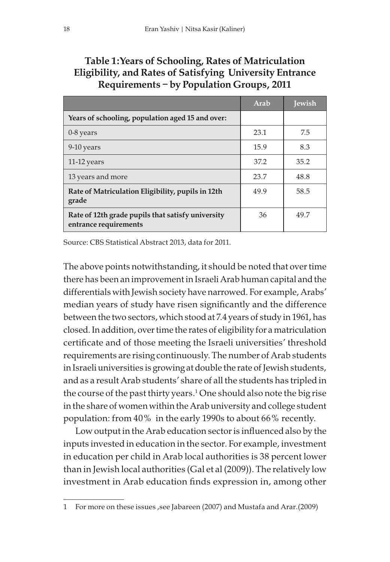|                                                                            | Arab | <b>Jewish</b> |  |  |  |
|----------------------------------------------------------------------------|------|---------------|--|--|--|
| Years of schooling, population aged 15 and over:                           |      |               |  |  |  |
| 0-8 years                                                                  | 23.1 | 7.5           |  |  |  |
| 9-10 years                                                                 | 15.9 | 8.3           |  |  |  |
| $11-12$ years                                                              | 37.2 | 35.2          |  |  |  |
| 13 years and more                                                          | 23.7 | 48.8          |  |  |  |
| Rate of Matriculation Eligibility, pupils in 12th<br>grade                 | 49.9 | 58.5          |  |  |  |
| Rate of 12th grade pupils that satisfy university<br>entrance requirements | 36   | 49.7          |  |  |  |

#### Table 1:Years of Schooling, Rates of Matriculation Eligibility, and Rates of Satisfying University Entrance Requirements – by Population Groups, 2011

Source: CBS Statistical Abstract 2013, data for 2011.

The above points notwithstanding, it should be noted that over time there has been an improvement in Israeli Arab human capital and the differentials with Jewish society have narrowed. For example, Arabs' median years of study have risen significantly and the difference between the two sectors, which stood at 7.4 years of study in 1961, has closed. In addition, over time the rates of eligibility for a matriculation certificate and of those meeting the Israeli universities' threshold requirements are rising continuously. The number of Arab students in Israeli universities is growing at double the rate of Jewish students, and as a result Arab students' share of all the students has tripled in the course of the past thirty years.1 One should also note the big rise in the share of women within the Arab university and college student population: from 40% in the early 1990s to about 66% recently.

Low output in the Arab education sector is influenced also by the inputs invested in education in the sector. For example, investment in education per child in Arab local authorities is 38 percent lower than in Jewish local authorities (Gal et al (2009)). The relatively low investment in Arab education finds expression in, among other

<sup>1</sup> For more on these issues , see Jabareen (2007) and Mustafa and Arar.(2009)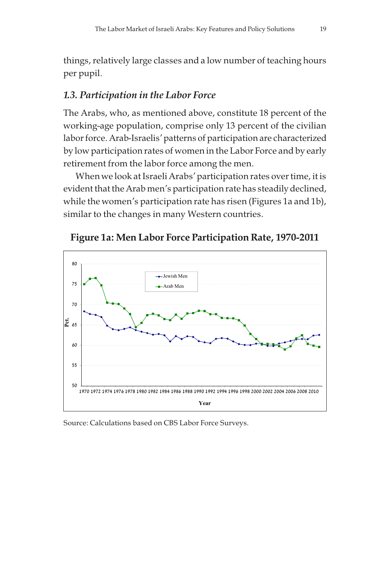things, relatively large classes and a low number of teaching hours per pupil.

#### 1.3. Participation in the Labor Force

The Arabs, who, as mentioned above, constitute 18 percent of the working-age population, comprise only 13 percent of the civilian labor force. Arab-Israelis' patterns of participation are characterized by low participation rates of women in the Labor Force and by early retirement from the labor force among the men.

When we look at Israeli Arabs' participation rates over time, it is evident that the Arab men's participation rate has steadily declined, while the women's participation rate has risen (Figures 1a and 1b), similar to the changes in many Western countries.





Source: Calculations based on CBS Labor Force Surveys.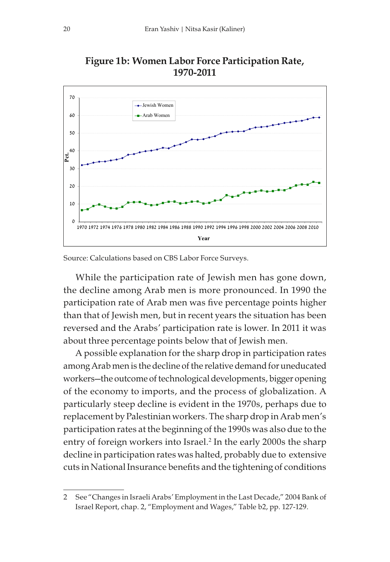

Figure 1b: Women Labor Force Participation Rate, 1970-2011

Source: Calculations based on CBS Labor Force Surveys.

While the participation rate of Jewish men has gone down, the decline among Arab men is more pronounced. In 1990 the participation rate of Arab men was five percentage points higher than that of Jewish men, but in recent years the situation has been reversed and the Arabs' participation rate is lower. In 2011 it was about three percentage points below that of Jewish men.

A possible explanation for the sharp drop in participation rates among Arab men is the decline of the relative demand for uneducated workers—the outcome of technological developments, bigger opening of the economy to imports, and the process of globalization. A particularly steep decline is evident in the 1970s, perhaps due to replacement by Palestinian workers. The sharp drop in Arab men's participation rates at the beginning of the 1990s was also due to the entry of foreign workers into Israel.<sup>2</sup> In the early 2000s the sharp decline in participation rates was halted, probably due to extensive cuts in National Insurance benefits and the tightening of conditions

<sup>2</sup> See "Changes in Israeli Arabs' Employment in the Last Decade," 2004 Bank of Israel Report, chap. 2, "Employment and Wages," Table b2, pp. 127-129.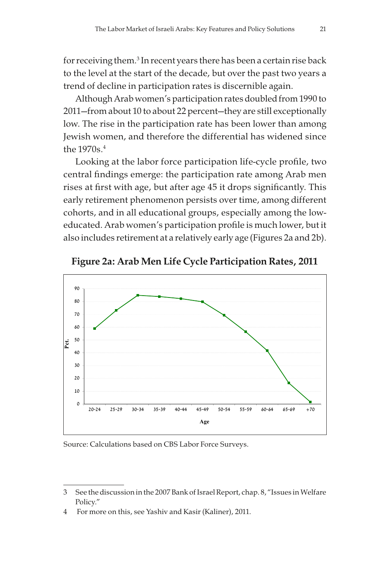for receiving them.<sup>3</sup> In recent years there has been a certain rise back to the level at the start of the decade, but over the past two years a trend of decline in participation rates is discernible again.

Although Arab women's participation rates doubled from 1990 to 2011—from about 10 to about 22 percent—they are still exceptionally low. The rise in the participation rate has been lower than among Jewish women, and therefore the differential has widened since the 1970s.<sup>4</sup>

Looking at the labor force participation life-cycle profile, two central findings emerge: the participation rate among Arab men rises at first with age, but after age 45 it drops significantly. This early retirement phenomenon persists over time, among different cohorts, and in all educational groups, especially among the loweducated. Arab women's participation profile is much lower, but it also includes retirement at a relatively early age (Figures 2a and 2b).



Figure 2a: Arab Men Life Cycle Participation Rates, 2011

Source: Calculations based on CBS Labor Force Surveys.

<sup>3</sup> See the discussion in the 2007 Bank of Israel Report, chap. 8, "Issues in Welfare Policy."

<sup>4</sup> For more on this, see Yashiv and Kasir (Kaliner), 2011.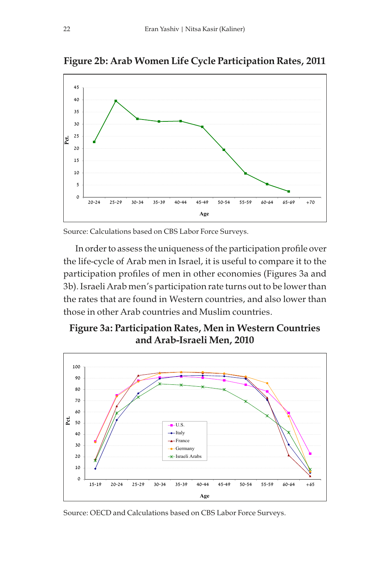

Figure 2b: Arab Women Life Cycle Participation Rates, 2011

Source: Calculations based on CBS Labor Force Surveys.

In order to assess the uniqueness of the participation profile over the life-cycle of Arab men in Israel, it is useful to compare it to the participation profiles of men in other economies (Figures 3a and 3b). Israeli Arab men's participation rate turns out to be lower than the rates that are found in Western countries, and also lower than those in other Arab countries and Muslim countries.

Figure 3a: Participation Rates, Men in Western Countries and Arab-Israeli Men, 2010



Source: OECD and Calculations based on CBS Labor Force Surveys.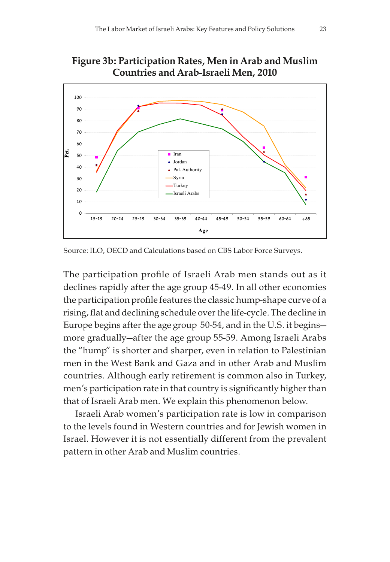

Figure 3b: Participation Rates, Men in Arab and Muslim

Source: ILO, OECD and Calculations based on CBS Labor Force Surveys.

The participation profile of Israeli Arab men stands out as it declines rapidly after the age group 45-49. In all other economies the participation profile features the classic hump-shape curve of a rising, flat and declining schedule over the life-cycle. The decline in Europe begins after the age group 50-54, and in the U.S. it begins more gradually—after the age group 55-59. Among Israeli Arabs the "hump" is shorter and sharper, even in relation to Palestinian men in the West Bank and Gaza and in other Arab and Muslim countries. Although early retirement is common also in Turkey, men's participation rate in that country is significantly higher than that of Israeli Arab men. We explain this phenomenon below.

Israeli Arab women's participation rate is low in comparison to the levels found in Western countries and for Jewish women in Israel. However it is not essentially different from the prevalent pattern in other Arab and Muslim countries.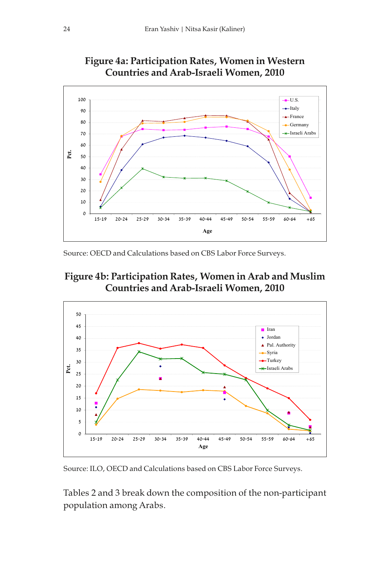

Figure 4a: Participation Rates, Women in Western Countries and Arab-Israeli Women, 2010

Source: OECD and Calculations based on CBS Labor Force Surveys.





Source: ILO, OECD and Calculations based on CBS Labor Force Surveys.

Tables 2 and 3 break down the composition of the non-participant population among Arabs.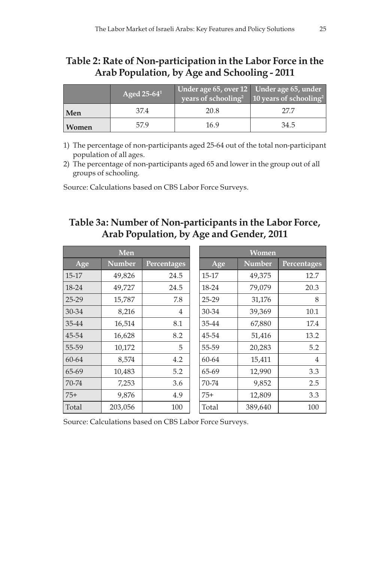#### Table 2: Rate of Non-participation in the Labor Force in the Arab Population, by Age and Schooling - 2011

|       | Aged 25-64 <sup>1</sup> | Under age 65, over 12 Under age 65, under | years of schooling <sup>2</sup> 10 years of schooling <sup>2</sup> |
|-------|-------------------------|-------------------------------------------|--------------------------------------------------------------------|
| Men   | 37.4                    | 20.8                                      | 27.7                                                               |
| Women | 57.9                    | 16.9                                      | 34.5                                                               |

1) The percentage of non-participants aged 25-64 out of the total non-participant population of all ages.

2) The percentage of non-participants aged 65 and lower in the group out of all groups of schooling.

Source: Calculations based on CBS Labor Force Surveys.

#### Table 3a: Number of Non-participants in the Labor Force, Arab Population, by Age and Gender, 2011

|           | Men           |             | <b>Women</b> |               |                |
|-----------|---------------|-------------|--------------|---------------|----------------|
| Age       | <b>Number</b> | Percentages | Age          | <b>Number</b> | Percentages    |
| 15-17     | 49,826        | 24.5        | $15 - 17$    | 49,375        | 12.7           |
| $18 - 24$ | 49,727        | 24.5        | 18-24        | 79,079        | 20.3           |
| $25 - 29$ | 15,787        | 7.8         | 25-29        | 31,176        | 8              |
| $30 - 34$ | 8,216         | 4           | 30-34        | 39,369        | 10.1           |
| 35-44     | 16,514        | 8.1         | 35-44        | 67,880        | 17.4           |
| 45-54     | 16,628        | 8.2         | 45-54        | 51,416        | 13.2           |
| 55-59     | 10,172        | 5           | 55-59        | 20,283        | 5.2            |
| $60 - 64$ | 8,574         | 4.2         | $60 - 64$    | 15,411        | $\overline{4}$ |
| 65-69     | 10,483        | 5.2         | 65-69        | 12,990        | 3.3            |
| 70-74     | 7,253         | 3.6         | 70-74        | 9,852         | 2.5            |
| $75+$     | 9,876         | 4.9         | $75+$        | 12,809        | 3.3            |
| Total     | 203,056       | 100         | Total        | 389,640       | 100            |

Source: Calculations based on CBS Labor Force Surveys.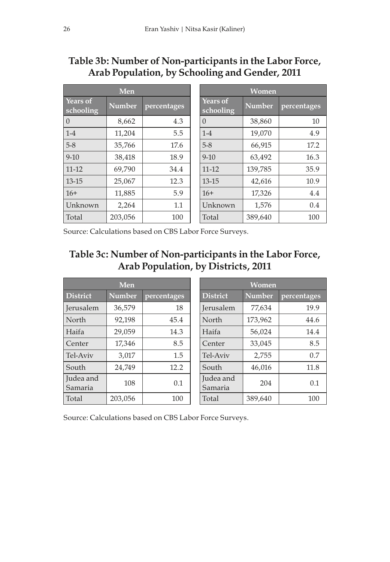#### Table 3b: Number of Non-participants in the Labor Force, Arab Population, by Schooling and Gender, 2011

|                       | Men           |             | <b>Women</b>                 |               |             |
|-----------------------|---------------|-------------|------------------------------|---------------|-------------|
| Years of<br>schooling | <b>Number</b> | percentages | <b>Years of</b><br>schooling | <b>Number</b> | percentages |
| $\Omega$              | 8,662         | 4.3         | $\Omega$                     | 38,860        | 10          |
| $1 - 4$               | 11,204        | 5.5         | $1 - 4$                      | 19,070        | 4.9         |
| $5-8$                 | 35,766        | 17.6        | $5 - 8$                      | 66,915        | 17.2        |
| $9 - 10$              | 38,418        | 18.9        | $9 - 10$                     | 63,492        | 16.3        |
| $11 - 12$             | 69,790        | 34.4        | $11 - 12$                    | 139,785       | 35.9        |
| $13 - 15$             | 25,067        | 12.3        | $13 - 15$                    | 42,616        | 10.9        |
| $16+$                 | 11,885        | 5.9         | $16+$                        | 17,326        | 4.4         |
| Unknown               | 2.264         | 1.1         | Unknown                      | 1,576         | 0.4         |
| Total                 | 203,056       | 100         | Total                        | 389,640       | 100         |

Source: Calculations based on CBS Labor Force Surveys.

#### Table 3c: Number of Non-participants in the Labor Force, Arab Population, by Districts, 2011

|                      | Men           |             | Women                |               |             |
|----------------------|---------------|-------------|----------------------|---------------|-------------|
| <b>District</b>      | <b>Number</b> | percentages | <b>District</b>      | <b>Number</b> | percentages |
| <b>Jerusalem</b>     | 36.579        | 18          | <b>Jerusalem</b>     | 77,634        | 19.9        |
| North                | 92,198        | 45.4        | North                | 173,962       | 44.6        |
| Haifa                | 29.059        | 14.3        | Haifa                | 56,024        | 14.4        |
| Center               | 17,346        | 8.5         | Center               | 33.045        | 8.5         |
| Tel-Aviv             | 3,017         | 1.5         | Tel-Aviv             | 2,755         | 0.7         |
| South                | 24.749        | 12.2        | South                | 46,016        | 11.8        |
| Judea and<br>Samaria | 108           | 0.1         | Judea and<br>Samaria | 204           | 0.1         |
| Total                | 203,056       | 100         | Total                | 389,640       | 100         |

Source: Calculations based on CBS Labor Force Surveys.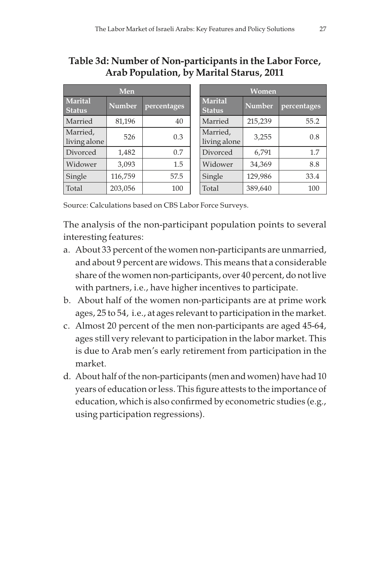#### Table 3d: Number of Non-participants in the Labor Force, Arab Population, by Marital Starus, 2011

|                          | Men           |             | <b>Women</b>                    |               |             |
|--------------------------|---------------|-------------|---------------------------------|---------------|-------------|
| Marital<br><b>Status</b> | <b>Number</b> | percentages | <b>Marital</b><br><b>Status</b> | <b>Number</b> | percentages |
| Married                  | 81.196        | 40          | Married                         | 215,239       | 55.2        |
| Married,<br>living alone | 526           | 0.3         | Married,<br>living alone        | 3,255         | 0.8         |
| Divorced                 | 1,482         | 0.7         | Divorced                        | 6,791         | 1.7         |
| Widower                  | 3,093         | 1.5         | Widower                         | 34,369        | 8.8         |
| Single                   | 116,759       | 57.5        | Single                          | 129,986       | 33.4        |
| Total                    | 203,056       | 100         | Total                           | 389,640       | 100         |

Source: Calculations based on CBS Labor Force Surveys.

The analysis of the non-participant population points to several interesting features:

- a. About 33 percent of the women non-participants are unmarried, and about 9 percent are widows. This means that a considerable share of the women non-participants, over 40 percent, do not live with partners, i.e., have higher incentives to participate.
- b. About half of the women non-participants are at prime work ages, 25 to 54, i.e., at ages relevant to participation in the market.
- c. Almost 20 percent of the men non-participants are aged 45-64, ages still very relevant to participation in the labor market. This is due to Arab men's early retirement from participation in the market.
- d. About half of the non-participants (men and women) have had 10 years of education or less. This figure attests to the importance of education, which is also confirmed by econometric studies (e.g., using participation regressions).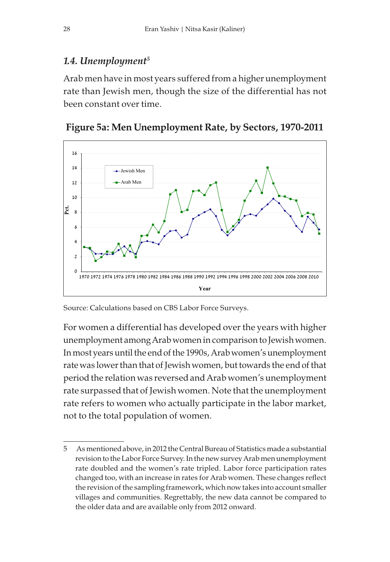#### 1.4. Unemployment $5$

Arab men have in most years suffered from a higher unemployment rate than Jewish men, though the size of the differential has not been constant over time.





Source: Calculations based on CBS Labor Force Surveys.

For women a differential has developed over the years with higher unemployment among Arab women in comparison to Jewish women. In most years until the end of the 1990s, Arab women's unemployment rate was lower than that of Jewish women, but towards the end of that period the relation was reversed and Arab women's unemployment rate surpassed that of Jewish women. Note that the unemployment rate refers to women who actually participate in the labor market, not to the total population of women.

<sup>5</sup> As mentioned above, in 2012 the Central Bureau of Statistics made a substantial revision to the Labor Force Survey. In the new survey Arab men unemployment rate doubled and the women's rate tripled. Labor force participation rates changed too, with an increase in rates for Arab women. These changes reflect the revision of the sampling framework, which now takes into account smaller villages and communities. Regrettably, the new data cannot be compared to the older data and are available only from 2012 onward.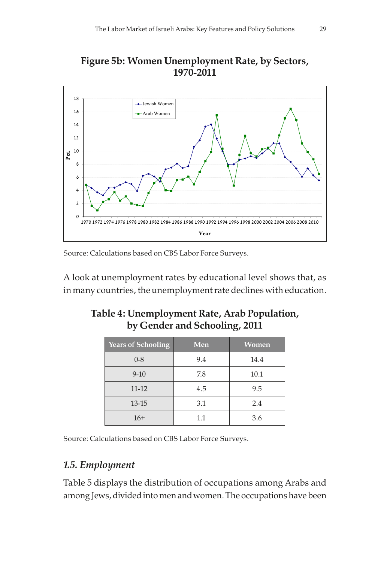



Source: Calculations based on CBS Labor Force Surveys.

A look at unemployment rates by educational level shows that, as in many countries, the unemployment rate declines with education.

| <b>Years of Schooling</b> | Men | Women |
|---------------------------|-----|-------|
| $0 - 8$                   | 9.4 | 14.4  |
| $9 - 10$                  | 7.8 | 10.1  |
| $11 - 12$                 | 4.5 | 9.5   |
| $13 - 15$                 | 3.1 | 2.4   |
| $16+$                     | 1.1 | 3.6   |

#### Table 4: Unemployment Rate, Arab Population, by Gender and Schooling, 2011

Source: Calculations based on CBS Labor Force Surveys.

#### 1.5. Employment

Table 5 displays the distribution of occupations among Arabs and among Jews, divided into men and women. The occupations have been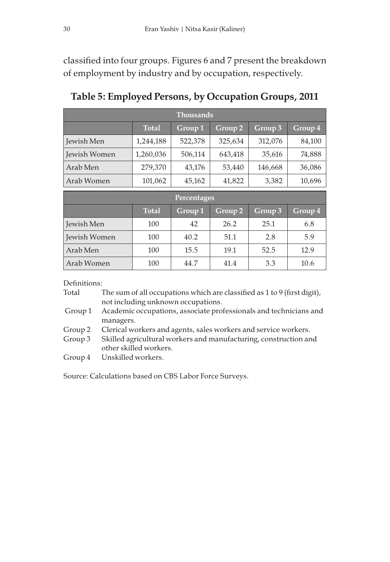classified into four groups. Figures 6 and 7 present the breakdown of employment by industry and by occupation, respectively.

| <b>Thousands</b> |         |         |         |         |  |  |
|------------------|---------|---------|---------|---------|--|--|
| <b>Total</b>     | Group 1 | Group 2 | Group 3 | Group 4 |  |  |
| 1,244,188        | 522,378 | 325,634 | 312,076 | 84,100  |  |  |
| 1,260,036        | 506,114 | 643,418 | 35,616  | 74,888  |  |  |
| 279,370          | 43,176  | 53,440  | 146,668 | 36,086  |  |  |
| 101,062          | 45,162  | 41,822  | 3,382   | 10,696  |  |  |
|                  |         |         |         |         |  |  |

Table 5: Employed Persons, by Occupation Groups, 2011

| Percentages  |              |         |         |         |         |  |
|--------------|--------------|---------|---------|---------|---------|--|
|              | <b>Total</b> | Group 1 | Group 2 | Group 3 | Group 4 |  |
| Jewish Men   | 100          | 42      | 26.2    | 25.1    | 6.8     |  |
| Jewish Women | 100          | 40.2    | 51.1    | 2.8     | 5.9     |  |
| Arab Men     | 100          | 15.5    | 19.1    | 52.5    | 12.9    |  |
| Arab Women   | 100          | 44.7    | 41.4    | 3.3     | 10.6    |  |

Definitions:

| Total | The sum of all occupations which are classified as 1 to 9 (first digit), |
|-------|--------------------------------------------------------------------------|
|       | not including unknown occupations.                                       |

 Group 1 Academic occupations, associate professionals and technicians and managers.

Group 2 Clerical workers and agents, sales workers and service workers.

Group 3 Skilled agricultural workers and manufacturing, construction and other skilled workers.

Group 4 Unskilled workers.

Source: Calculations based on CBS Labor Force Surveys.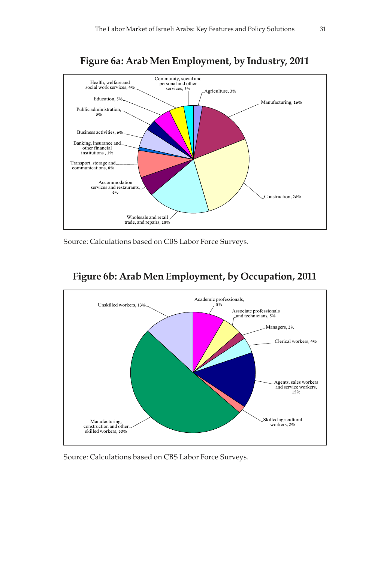

Figure 6a: Arab Men Employment, by Industry, 2011

Source: Calculations based on CBS Labor Force Surveys.



#### Figure 6b: Arab Men Employment, by Occupation, 2011

Source: Calculations based on CBS Labor Force Surveys.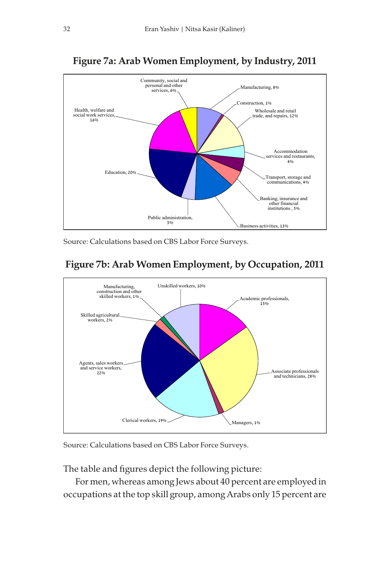

#### Figure 7a: Arab Women Employment, by Industry, 2011

Source: Calculations based on CBS Labor Force Surveys.



#### Figure 7b: Arab Women Employment, by Occupation, 2011

Source: Calculations based on CBS Labor Force Surveys.

The table and figures depict the following picture:

For men, whereas among Jews about 40 percent are employed in occupations at the top skill group, among Arabs only 15 percent are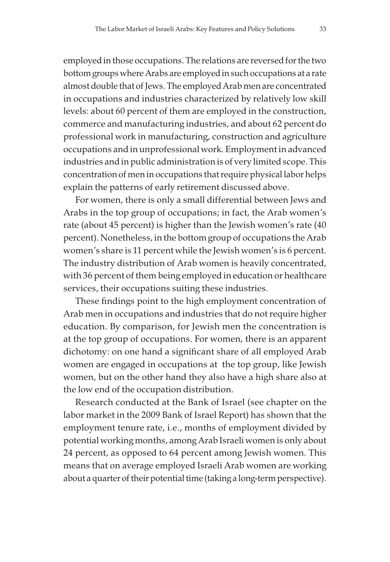employed in those occupations. The relations are reversed for the two bottom groups where Arabs are employed in such occupations at a rate almost double that of Jews. The employed Arab men are concentrated in occupations and industries characterized by relatively low skill levels: about 60 percent of them are employed in the construction, commerce and manufacturing industries, and about 62 percent do professional work in manufacturing, construction and agriculture occupations and in unprofessional work. Employment in advanced industries and in public administration is of very limited scope. This concentration of men in occupations that require physical labor helps explain the patterns of early retirement discussed above.

For women, there is only a small differential between Jews and Arabs in the top group of occupations; in fact, the Arab women's rate (about 45 percent) is higher than the Jewish women's rate (40 percent). Nonetheless, in the bottom group of occupations the Arab women's share is 11 percent while the Jewish women's is 6 percent. The industry distribution of Arab women is heavily concentrated, with 36 percent of them being employed in education or healthcare services, their occupations suiting these industries.

These findings point to the high employment concentration of Arab men in occupations and industries that do not require higher education. By comparison, for Jewish men the concentration is at the top group of occupations. For women, there is an apparent dichotomy: on one hand a significant share of all employed Arab women are engaged in occupations at the top group, like Jewish women, but on the other hand they also have a high share also at the low end of the occupation distribution.

Research conducted at the Bank of Israel (see chapter on the labor market in the 2009 Bank of Israel Report) has shown that the employment tenure rate, i.e., months of employment divided by potential working months, among Arab Israeli women is only about 24 percent, as opposed to 64 percent among Jewish women. This means that on average employed Israeli Arab women are working about a quarter of their potential time (taking a long-term perspective).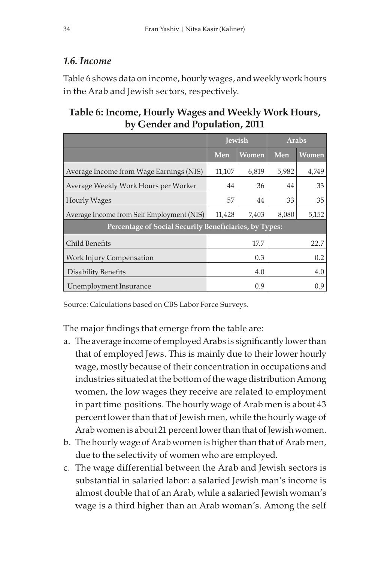#### 1.6. Income

Table 6 shows data on income, hourly wages, and weekly work hours in the Arab and Jewish sectors, respectively.

#### Table 6: Income, Hourly Wages and Weekly Work Hours, by Gender and Population, 2011

|                                                        | <b>Jewish</b> |       | <b>Arabs</b> |              |  |  |
|--------------------------------------------------------|---------------|-------|--------------|--------------|--|--|
|                                                        | Men           | Women | Men          | <b>Women</b> |  |  |
| Average Income from Wage Earnings (NIS)                | 11,107        | 6,819 | 5,982        | 4,749        |  |  |
| Average Weekly Work Hours per Worker                   | 44            | 36    | 44           | 33           |  |  |
| <b>Hourly Wages</b>                                    | 57            | 44    | 33           | 35           |  |  |
| Average Income from Self Employment (NIS)              | 11,428        | 7,403 | 8,080        | 5,152        |  |  |
| Percentage of Social Security Beneficiaries, by Types: |               |       |              |              |  |  |
| Child Benefits                                         |               | 17.7  |              | 22.7         |  |  |
| <b>Work Injury Compensation</b>                        |               | 0.3   | 0.2          |              |  |  |
| Disability Benefits                                    |               | 4.0   | 4.0          |              |  |  |
| Unemployment Insurance                                 |               | 0.9   |              | 0.9          |  |  |

Source: Calculations based on CBS Labor Force Surveys.

The major findings that emerge from the table are:

- a. The average income of employed Arabs is significantly lower than that of employed Jews. This is mainly due to their lower hourly wage, mostly because of their concentration in occupations and industries situated at the bottom of the wage distribution Among women, the low wages they receive are related to employment in part time positions. The hourly wage of Arab men is about 43 percent lower than that of Jewish men, while the hourly wage of Arab women is about 21 percent lower than that of Jewish women.
- b. The hourly wage of Arab women is higher than that of Arab men, due to the selectivity of women who are employed.
- c. The wage differential between the Arab and Jewish sectors is substantial in salaried labor: a salaried Jewish man's income is almost double that of an Arab, while a salaried Jewish woman's wage is a third higher than an Arab woman's. Among the self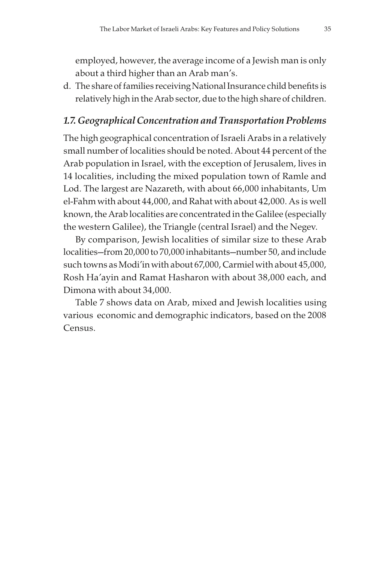employed, however, the average income of a Jewish man is only about a third higher than an Arab man's.

d. The share of families receiving National Insurance child benefits is relatively high in the Arab sector, due to the high share of children.

## 1.7. Geographical Concentration and Transportation Problems

The high geographical concentration of Israeli Arabs in a relatively small number of localities should be noted. About 44 percent of the Arab population in Israel, with the exception of Jerusalem, lives in 14 localities, including the mixed population town of Ramle and Lod. The largest are Nazareth, with about 66,000 inhabitants, Um el-Fahm with about 44,000, and Rahat with about 42,000. As is well known, the Arab localities are concentrated in the Galilee (especially the western Galilee), the Triangle (central Israel) and the Negev.

By comparison, Jewish localities of similar size to these Arab localities—from 20,000 to 70,000 inhabitants—number 50, and include such towns as Modi'in with about 67,000, Carmiel with about 45,000, Rosh Ha'ayin and Ramat Hasharon with about 38,000 each, and Dimona with about 34,000.

Table 7 shows data on Arab, mixed and Jewish localities using various economic and demographic indicators, based on the 2008 Census.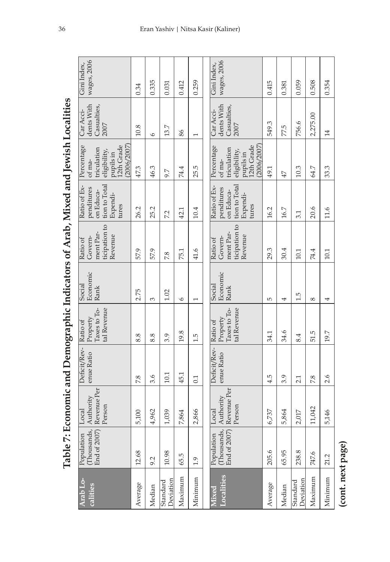|                                                                                   | wages, 2006<br>Gini Index,                                                                     | 0.34    | 0.335   | 0.031                 | 0.412   | 0.259          | wages, 2006<br>Gini Index,                                                                    | 0.415   | 0.381  | 0.059                 | 0.508      | 0.354   |
|-----------------------------------------------------------------------------------|------------------------------------------------------------------------------------------------|---------|---------|-----------------------|---------|----------------|-----------------------------------------------------------------------------------------------|---------|--------|-----------------------|------------|---------|
|                                                                                   | dents With<br>Casualties,<br>Car Acci-<br>2007                                                 | 10.8    | $\circ$ | 13.7                  | 86      | I              | dents With<br>Casualties,<br>Car Acci-<br>2007                                                | 549.3   | 77.5   | 756.6                 | 2,275.00   | 14      |
|                                                                                   | 12th Grade<br>Percentage<br>(2006/2007)<br>triculation<br>eligibility,<br>pupils in<br>of ma-  | 47.3    | 46.3    | 9.7                   | 74.4    | 25.5           | 12th Grade<br>Percentage<br>(2006/2007)<br>triculation<br>eligibility,<br>pupils in<br>of ma- | 49.1    | 47     | 10.3                  | 64.7       | 33.3    |
|                                                                                   | tion to Total<br>Ratio of Ex-<br>penditures<br>on Educa-<br>Expendi-<br>tures                  | 26.2    | 25.2    | 7.2                   | 42.1    | 10.4           | tion to Total<br>Ratio of Ex-<br>penditures<br>on Educa-<br>Expendi-<br>tures                 | 16.2    | 16.7   | 3.1                   | 20.6       | 11.6    |
|                                                                                   | ticipation to<br>ment Par-<br>Revenue<br>Govern-<br>Ratio of                                   | 57.9    | 57.9    | 7.8                   | 75.1    | 41.6           | ticipation to<br>ment Par-<br>Revenue<br>Govern-<br>Ratio of                                  | 29.3    | 30.4   | 10.1                  | 74.4       | 10.1    |
| Table 7: Economic and Demographic Indicators of Arab, Mixed and Jewish Localities | Economic<br>Social<br>Rank                                                                     | 2.75    | 3       | 1.02                  | $\circ$ | $\overline{ }$ | Economic<br>Social<br>Rank                                                                    | 5       | 4      | 1.5                   | $^{\circ}$ | 4       |
|                                                                                   | Taxes to To-<br>tal Revenue<br>Property<br>Ratio of                                            | 8.8     | 8.8     | 3.9                   | 19.8    | 1.5            | Taxes to To-<br>tal Revenue<br>Property<br>Ratio of                                           | 34.1    | 34.6   | 8.4                   | 51.5       | 19.7    |
|                                                                                   | Deficit/Rev-<br>enue Ratio                                                                     | 7.8     | 3.6     | 10.1                  | 45.1    | 0.1            | Deficit/Rev-<br>enue Ratio                                                                    | 4.5     | 3.9    | 2.1                   | 7.8        | 2.6     |
|                                                                                   | Revenue Per<br>Authority<br>Person<br>Local                                                    | 5,100   | 4,962   | 1,039                 | 7,864   | 2,866          | Revenue Per<br>Authority<br>Person<br>Local                                                   | 6,737   | 5,864  | 2,017                 | 11,042     | 5,146   |
|                                                                                   | $\begin{bmatrix} \text{Population} \ \text{(Thousands)} \ \text{End of } 2007 \ \end{bmatrix}$ | 12.68   | 9.2     | 10.98                 | 65.5    | 1.9            | Thousands,<br>End of 2007)<br>Population                                                      | 205.6   | 65.95  | 238.8                 | 747.6      | 21.2    |
|                                                                                   | Arab Lo-<br>calities                                                                           | Average | Median  | Deviation<br>Standard | Maximum | Minimum        | Localities<br>Viixed                                                                          | Average | Median | Deviation<br>Standard | Maximum    | Minimum |

Table 7: Economic and Demographic Indicators of Arab, Mixed and Jewish Localities

(cont. next page) (cont. next page)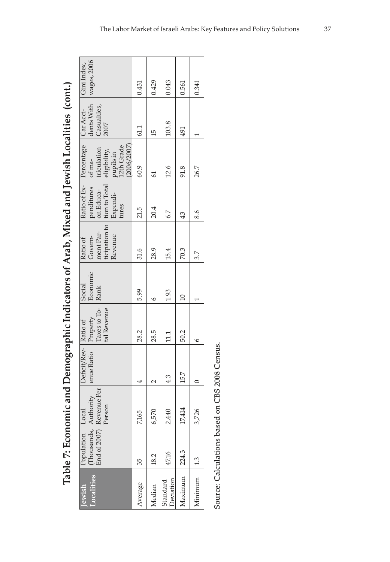| Gini Index,                         | wages, 2006                                                                                                                                                      | 0.431   | 0.429                | 0.043                        | 0.561   | 0.341   |
|-------------------------------------|------------------------------------------------------------------------------------------------------------------------------------------------------------------|---------|----------------------|------------------------------|---------|---------|
|                                     | dents With<br>Casualties,<br>2007                                                                                                                                | 61.1    | 15                   | 103.8                        | 491     |         |
|                                     | triculation<br>(2006/2007)<br>pupils in<br>12th Grade<br>eligibility,                                                                                            | 60.9    | 2                    | 12.6                         | 91.8    | 26.7    |
| Ratio of Ex- Percentage   Car Acci- | penditures of ma-<br>ticipation to tion to Total<br>on Educa-<br>Expendi-<br>tures                                                                               | 21.5    | 20.4                 | 6.7                          | 43      | 8.6     |
| Ratio of                            | ment Par-<br>Revenue<br>Govern-                                                                                                                                  | 31.6    | 28.9                 | 15.4                         | 70.3    | 3.7     |
| Social                              | Economic<br>Rank                                                                                                                                                 | 5.99    | ٥                    | 1.93                         |         |         |
|                                     | $\fbox{Property} \begin{tabular}{ c c } \hline \textbf{Property} & \textbf{7o-} & \textbf{8} & \textbf{13} & \textbf{15} \\ \hline \end{tabular}$<br>tal Revenue | 28.2    | 28.5                 | $\Xi$                        | 50.2    |         |
| Deficit/Rev- Ratio of               | enue Ratio                                                                                                                                                       |         | $\sim$               | 4.3                          | 15.7    |         |
|                                     | End of 2007) Revenue Per<br>nds, Authority<br>Person                                                                                                             | 7,165   | 6,570                | 2,440                        | 17,414  | 3,726   |
| Population   Local                  | <b>Inousar</b>                                                                                                                                                   | 35      | 18.2                 | 47.16                        | 224.3   |         |
| ewish                               |                                                                                                                                                                  | Average | <i><b>Aedian</b></i> | <b>Peviation</b><br>Standard | Aaximum | Minimum |

Table 7: Economic and Demographic Indicators of Arab, Mixed and Jewish Localities (cont.) Table 7: Economic and Demographic Indicators of Arab, Mixed and Jewish Localities (cont.)

Source: Calculations based on CBS 2008 Census. Source: Calculations based on CBS 2008 Census.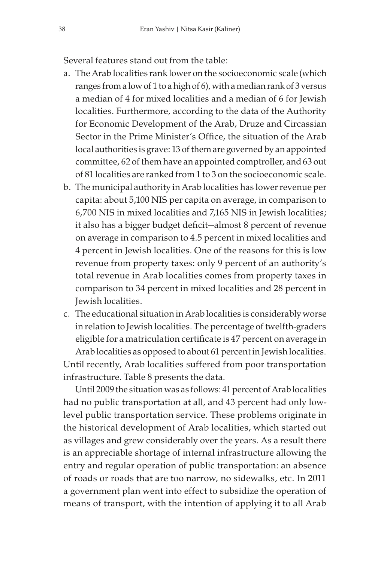Several features stand out from the table:

- a. The Arab localities rank lower on the socioeconomic scale (which ranges from a low of 1 to a high of 6), with a median rank of 3 versus a median of 4 for mixed localities and a median of 6 for Jewish localities. Furthermore, according to the data of the Authority for Economic Development of the Arab, Druze and Circassian Sector in the Prime Minister's Office, the situation of the Arab local authorities is grave: 13 of them are governed by an appointed committee, 62 of them have an appointed comptroller, and 63 out of 81 localities are ranked from 1 to 3 on the socioeconomic scale.
- b. The municipal authority in Arab localities has lower revenue per capita: about 5,100 NIS per capita on average, in comparison to 6,700 NIS in mixed localities and 7,165 NIS in Jewish localities; it also has a bigger budget deficit—almost 8 percent of revenue on average in comparison to 4.5 percent in mixed localities and 4 percent in Jewish localities. One of the reasons for this is low revenue from property taxes: only 9 percent of an authority's total revenue in Arab localities comes from property taxes in comparison to 34 percent in mixed localities and 28 percent in Jewish localities.
- c. The educational situation in Arab localities is considerably worse in relation to Jewish localities. The percentage of twelfth-graders eligible for a matriculation certificate is 47 percent on average in Arab localities as opposed to about 61 percent in Jewish localities. Until recently, Arab localities suffered from poor transportation infrastructure. Table 8 presents the data.

Until 2009 the situation was as follows: 41 percent of Arab localities had no public transportation at all, and 43 percent had only lowlevel public transportation service. These problems originate in the historical development of Arab localities, which started out as villages and grew considerably over the years. As a result there is an appreciable shortage of internal infrastructure allowing the entry and regular operation of public transportation: an absence of roads or roads that are too narrow, no sidewalks, etc. In 2011 a government plan went into effect to subsidize the operation of means of transport, with the intention of applying it to all Arab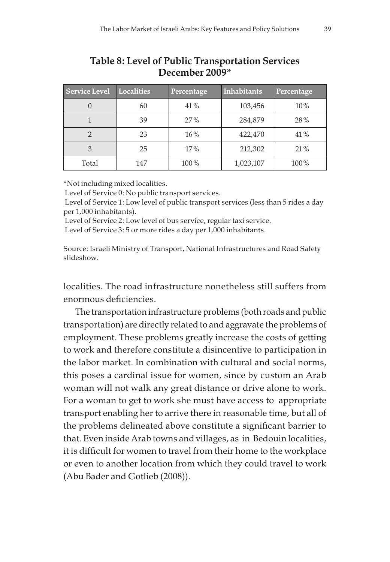| <b>Service Level</b> | <b>Localities</b> | Percentage | <b>Inhabitants</b> | Percentage |  |  |
|----------------------|-------------------|------------|--------------------|------------|--|--|
|                      | 60                | 41%        | 103,456            | 10%        |  |  |
|                      | 39                | 27%        | 284,879            | 28%        |  |  |
| 2                    | 23                | $16\%$     | 422,470            | 41%        |  |  |
| 3                    | 25                | 17%        | 212,302            | 21%        |  |  |
| Total                | 147               | 100%       | 1,023,107          | $100\%$    |  |  |

## Table 8: Level of Public Transportation Services December 2009\*

\*Not including mixed localities.

Level of Service 0: No public transport services.

 Level of Service 1: Low level of public transport services (less than 5 rides a day per 1,000 inhabitants).

Level of Service 2: Low level of bus service, regular taxi service.

Level of Service 3: 5 or more rides a day per 1,000 inhabitants.

Source: Israeli Ministry of Transport, National Infrastructures and Road Safety slideshow.

localities. The road infrastructure nonetheless still suffers from enormous deficiencies.

The transportation infrastructure problems (both roads and public transportation) are directly related to and aggravate the problems of employment. These problems greatly increase the costs of getting to work and therefore constitute a disincentive to participation in the labor market. In combination with cultural and social norms, this poses a cardinal issue for women, since by custom an Arab woman will not walk any great distance or drive alone to work. For a woman to get to work she must have access to appropriate transport enabling her to arrive there in reasonable time, but all of the problems delineated above constitute a significant barrier to that. Even inside Arab towns and villages, as in Bedouin localities, it is difficult for women to travel from their home to the workplace or even to another location from which they could travel to work (Abu Bader and Gotlieb (2008)).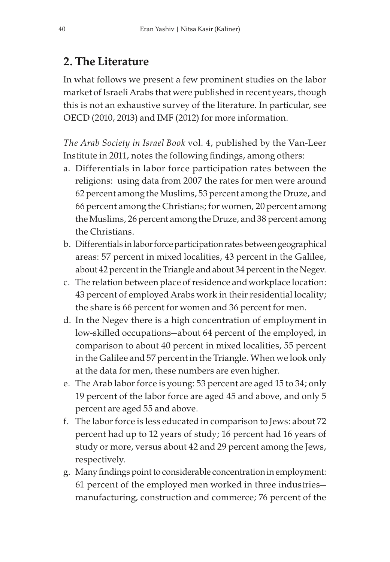# 2. The Literature

In what follows we present a few prominent studies on the labor market of Israeli Arabs that were published in recent years, though this is not an exhaustive survey of the literature. In particular, see OECD (2010, 2013) and IMF (2012) for more information.

The Arab Society in Israel Book vol. 4, published by the Van-Leer Institute in 2011, notes the following findings, among others:

- a. Differentials in labor force participation rates between the religions: using data from 2007 the rates for men were around 62 percent among the Muslims, 53 percent among the Druze, and 66 percent among the Christians; for women, 20 percent among the Muslims, 26 percent among the Druze, and 38 percent among the Christians.
- b. Differentials in labor force participation rates between geographical areas: 57 percent in mixed localities, 43 percent in the Galilee, about 42 percent in the Triangle and about 34 percent in the Negev.
- c. The relation between place of residence and workplace location: 43 percent of employed Arabs work in their residential locality; the share is 66 percent for women and 36 percent for men.
- d. In the Negev there is a high concentration of employment in low-skilled occupations—about 64 percent of the employed, in comparison to about 40 percent in mixed localities, 55 percent in the Galilee and 57 percent in the Triangle. When we look only at the data for men, these numbers are even higher.
- e. The Arab labor force is young: 53 percent are aged 15 to 34; only 19 percent of the labor force are aged 45 and above, and only 5 percent are aged 55 and above.
- f. The labor force is less educated in comparison to Jews: about 72 percent had up to 12 years of study; 16 percent had 16 years of study or more, versus about 42 and 29 percent among the Jews, respectively.
- g. Many findings point to considerable concentration in employment: 61 percent of the employed men worked in three industries manufacturing, construction and commerce; 76 percent of the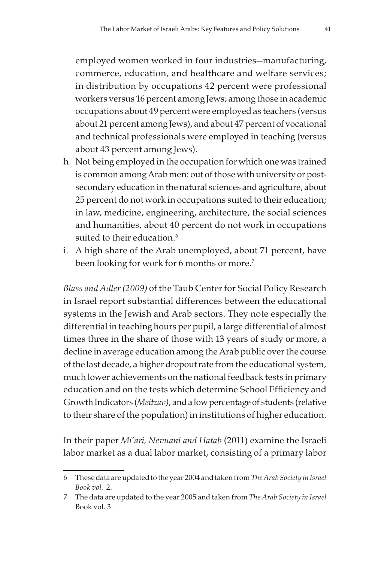employed women worked in four industries—manufacturing, commerce, education, and healthcare and welfare services; in distribution by occupations 42 percent were professional workers versus 16 percent among Jews; among those in academic occupations about 49 percent were employed as teachers (versus about 21 percent among Jews), and about 47 percent of vocational and technical professionals were employed in teaching (versus about 43 percent among Jews).

- h. Not being employed in the occupation for which one was trained is common among Arab men: out of those with university or postsecondary education in the natural sciences and agriculture, about 25 percent do not work in occupations suited to their education; in law, medicine, engineering, architecture, the social sciences and humanities, about 40 percent do not work in occupations suited to their education.<sup>6</sup>
- i. A high share of the Arab unemployed, about 71 percent, have been looking for work for 6 months or more.<sup>7</sup>

Blass and Adler (2009) of the Taub Center for Social Policy Research in Israel report substantial differences between the educational systems in the Jewish and Arab sectors. They note especially the differential in teaching hours per pupil, a large differential of almost times three in the share of those with 13 years of study or more, a decline in average education among the Arab public over the course of the last decade, a higher dropout rate from the educational system, much lower achievements on the national feedback tests in primary education and on the tests which determine School Efficiency and Growth Indicators (Meitzav), and a low percentage of students (relative to their share of the population) in institutions of higher education.

In their paper Mi'ari, Nevuani and Hatab (2011) examine the Israeli labor market as a dual labor market, consisting of a primary labor

<sup>6</sup> These data are updated to the year 2004 and taken from The Arab Society in Israel Book vol. 2.

<sup>7</sup> The data are updated to the year 2005 and taken from The Arab Society in Israel Book vol. 3.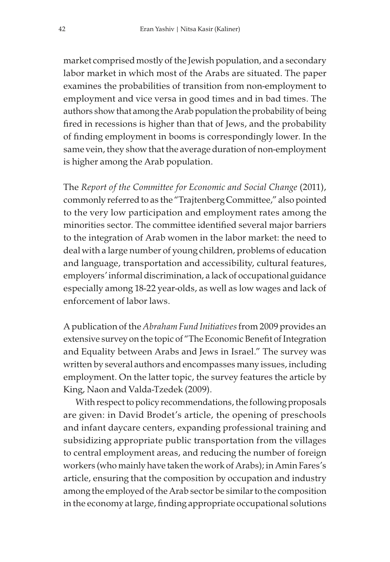market comprised mostly of the Jewish population, and a secondary labor market in which most of the Arabs are situated. The paper examines the probabilities of transition from non-employment to employment and vice versa in good times and in bad times. The authors show that among the Arab population the probability of being fired in recessions is higher than that of Jews, and the probability of finding employment in booms is correspondingly lower. In the same vein, they show that the average duration of non-employment is higher among the Arab population.

The Report of the Committee for Economic and Social Change (2011), commonly referred to as the "Trajtenberg Committee," also pointed to the very low participation and employment rates among the minorities sector. The committee identified several major barriers to the integration of Arab women in the labor market: the need to deal with a large number of young children, problems of education and language, transportation and accessibility, cultural features, employers' informal discrimination, a lack of occupational guidance especially among 18-22 year-olds, as well as low wages and lack of enforcement of labor laws.

A publication of the Abraham Fund Initiatives from 2009 provides an extensive survey on the topic of "The Economic Benefit of Integration and Equality between Arabs and Jews in Israel." The survey was written by several authors and encompasses many issues, including employment. On the latter topic, the survey features the article by King, Naon and Valda-Tzedek (2009).

With respect to policy recommendations, the following proposals are given: in David Brodet's article, the opening of preschools and infant daycare centers, expanding professional training and subsidizing appropriate public transportation from the villages to central employment areas, and reducing the number of foreign workers (who mainly have taken the work of Arabs); in Amin Fares's article, ensuring that the composition by occupation and industry among the employed of the Arab sector be similar to the composition in the economy at large, finding appropriate occupational solutions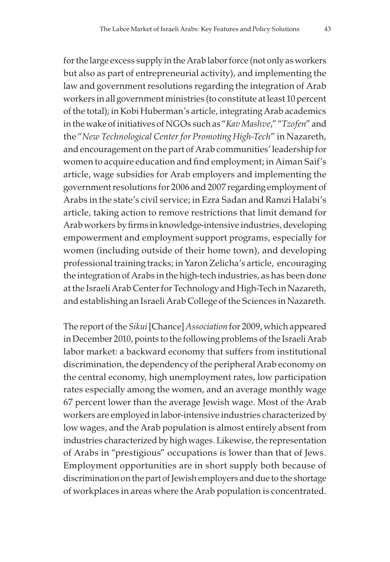for the large excess supply in the Arab labor force (not only as workers but also as part of entrepreneurial activity), and implementing the law and government resolutions regarding the integration of Arab workers in all government ministries (to constitute at least 10 percent of the total); in Kobi Huberman's article, integrating Arab academics in the wake of initiatives of NGOs such as "Kav Mashve," "Tzofen" and the "New Technological Center for Promoting High-Tech" in Nazareth, and encouragement on the part of Arab communities' leadership for women to acquire education and find employment; in Aiman Saif's article, wage subsidies for Arab employers and implementing the government resolutions for 2006 and 2007 regarding employment of Arabs in the state's civil service; in Ezra Sadan and Ramzi Halabi's article, taking action to remove restrictions that limit demand for Arab workers by firms in knowledge-intensive industries, developing empowerment and employment support programs, especially for women (including outside of their home town), and developing professional training tracks; in Yaron Zelicha's article, encouraging the integration of Arabs in the high-tech industries, as has been done at the Israeli Arab Center for Technology and High-Tech in Nazareth, and establishing an Israeli Arab College of the Sciences in Nazareth.

The report of the Sikui [Chance] Association for 2009, which appeared in December 2010, points to the following problems of the Israeli Arab labor market: a backward economy that suffers from institutional discrimination, the dependency of the peripheral Arab economy on the central economy, high unemployment rates, low participation rates especially among the women, and an average monthly wage 67 percent lower than the average Jewish wage. Most of the Arab workers are employed in labor-intensive industries characterized by low wages, and the Arab population is almost entirely absent from industries characterized by high wages. Likewise, the representation of Arabs in "prestigious" occupations is lower than that of Jews. Employment opportunities are in short supply both because of discrimination on the part of Jewish employers and due to the shortage of workplaces in areas where the Arab population is concentrated.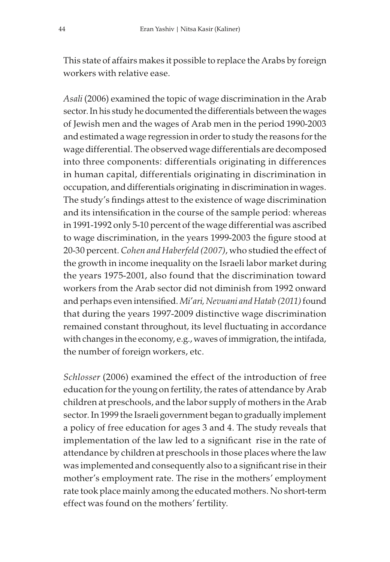This state of affairs makes it possible to replace the Arabs by foreign workers with relative ease.

Asali (2006) examined the topic of wage discrimination in the Arab sector. In his study he documented the differentials between the wages of Jewish men and the wages of Arab men in the period 1990-2003 and estimated a wage regression in order to study the reasons for the wage differential. The observed wage differentials are decomposed into three components: differentials originating in differences in human capital, differentials originating in discrimination in occupation, and differentials originating in discrimination in wages. The study's findings attest to the existence of wage discrimination and its intensification in the course of the sample period: whereas in 1991-1992 only 5-10 percent of the wage differential was ascribed to wage discrimination, in the years 1999-2003 the figure stood at 20-30 percent. Cohen and Haberfeld (2007), who studied the effect of the growth in income inequality on the Israeli labor market during the years 1975-2001, also found that the discrimination toward workers from the Arab sector did not diminish from 1992 onward and perhaps even intensified. Mi'ari, Nevuani and Hatab (2011) found that during the years 1997-2009 distinctive wage discrimination remained constant throughout, its level fluctuating in accordance with changes in the economy, e.g., waves of immigration, the intifada, the number of foreign workers, etc.

Schlosser (2006) examined the effect of the introduction of free education for the young on fertility, the rates of attendance by Arab children at preschools, and the labor supply of mothers in the Arab sector. In 1999 the Israeli government began to gradually implement a policy of free education for ages 3 and 4. The study reveals that implementation of the law led to a significant rise in the rate of attendance by children at preschools in those places where the law was implemented and consequently also to a significant rise in their mother's employment rate. The rise in the mothers' employment rate took place mainly among the educated mothers. No short-term effect was found on the mothers' fertility.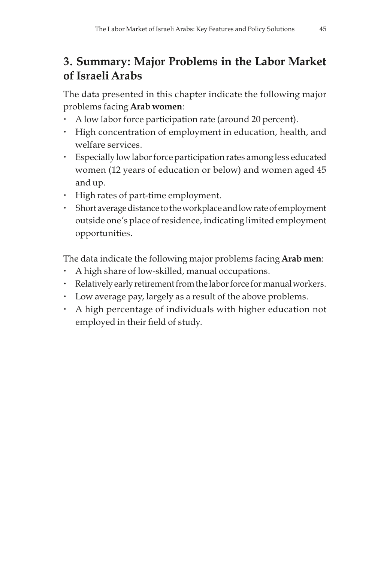# 3. Summary: Major Problems in the Labor Market of Israeli Arabs

The data presented in this chapter indicate the following major problems facing Arab women:

- A low labor force participation rate (around 20 percent).
- High concentration of employment in education, health, and welfare services.
- Especially low labor force participation rates among less educated women (12 years of education or below) and women aged 45 and up.
- High rates of part-time employment.
- Short average distance to the workplace and low rate of employment outside one's place of residence, indicating limited employment opportunities.

The data indicate the following major problems facing Arab men:

- A high share of low-skilled, manual occupations.
- Relatively early retirement from the labor force for manual workers.
- Low average pay, largely as a result of the above problems.
- A high percentage of individuals with higher education not employed in their field of study.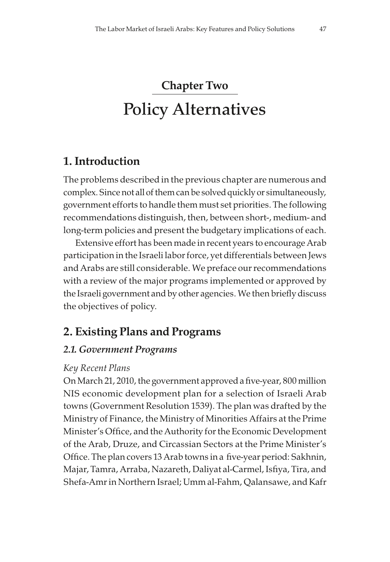# Chapter Two Policy Alternatives

# 1. Introduction

The problems described in the previous chapter are numerous and complex. Since not all of them can be solved quickly or simultaneously, government efforts to handle them must set priorities. The following recommendations distinguish, then, between short-, medium- and long-term policies and present the budgetary implications of each.

Extensive effort has been made in recent years to encourage Arab participation in the Israeli labor force, yet differentials between Jews and Arabs are still considerable. We preface our recommendations with a review of the major programs implemented or approved by the Israeli government and by other agencies. We then briefly discuss the objectives of policy.

# 2. Existing Plans and Programs

## 2.1. Government Programs

#### Key Recent Plans

On March 21, 2010, the government approved a five-year, 800 million NIS economic development plan for a selection of Israeli Arab towns (Government Resolution 1539). The plan was drafted by the Ministry of Finance, the Ministry of Minorities Affairs at the Prime Minister's Office, and the Authority for the Economic Development of the Arab, Druze, and Circassian Sectors at the Prime Minister's Office. The plan covers 13 Arab towns in a five-year period: Sakhnin, Majar, Tamra, Arraba, Nazareth, Daliyat al-Carmel, Isfiya, Tira, and Shefa-Amr in Northern Israel; Umm al-Fahm, Oalansawe, and Kafr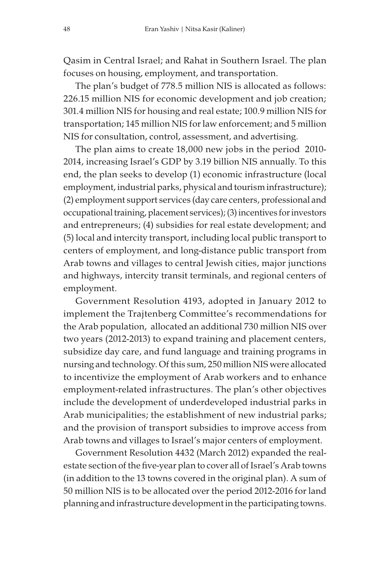Qasim in Central Israel; and Rahat in Southern Israel. The plan focuses on housing, employment, and transportation.

The plan's budget of 778.5 million NIS is allocated as follows: 226.15 million NIS for economic development and job creation; 301.4 million NIS for housing and real estate; 100.9 million NIS for transportation; 145 million NIS for law enforcement; and 5 million NIS for consultation, control, assessment, and advertising.

The plan aims to create 18,000 new jobs in the period 2010- 2014, increasing Israel's GDP by 3.19 billion NIS annually. To this end, the plan seeks to develop (1) economic infrastructure (local employment, industrial parks, physical and tourism infrastructure); (2) employment support services (day care centers, professional and occupational training, placement services); (3) incentives for investors and entrepreneurs; (4) subsidies for real estate development; and (5) local and intercity transport, including local public transport to centers of employment, and long-distance public transport from Arab towns and villages to central Jewish cities, major junctions and highways, intercity transit terminals, and regional centers of employment.

Government Resolution 4193, adopted in January 2012 to implement the Trajtenberg Committee's recommendations for the Arab population, allocated an additional 730 million NIS over two years (2012-2013) to expand training and placement centers, subsidize day care, and fund language and training programs in nursing and technology. Of this sum, 250 million NIS were allocated to incentivize the employment of Arab workers and to enhance employment-related infrastructures. The plan's other objectives include the development of underdeveloped industrial parks in Arab municipalities; the establishment of new industrial parks; and the provision of transport subsidies to improve access from Arab towns and villages to Israel's major centers of employment.

Government Resolution 4432 (March 2012) expanded the realestate section of the five-year plan to cover all of Israel's Arab towns (in addition to the 13 towns covered in the original plan). A sum of 50 million NIS is to be allocated over the period 2012-2016 for land planning and infrastructure development in the participating towns.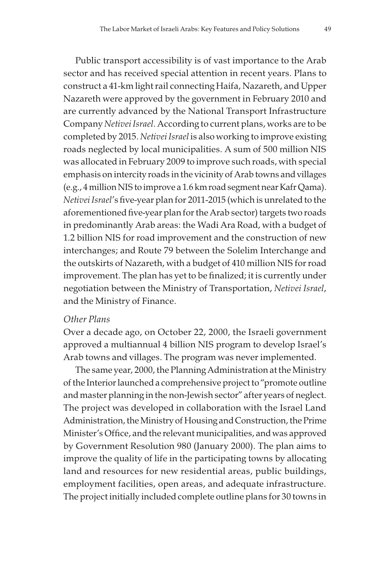Public transport accessibility is of vast importance to the Arab sector and has received special attention in recent years. Plans to construct a 41-km light rail connecting Haifa, Nazareth, and Upper Nazareth were approved by the government in February 2010 and are currently advanced by the National Transport Infrastructure Company Netivei Israel. According to current plans, works are to be completed by 2015. Netivei Israel is also working to improve existing roads neglected by local municipalities. A sum of 500 million NIS was allocated in February 2009 to improve such roads, with special emphasis on intercity roads in the vicinity of Arab towns and villages (e.g., 4 million NIS to improve a 1.6 km road segment near Kafr Qama). Netivei Israel's five-year plan for 2011-2015 (which is unrelated to the aforementioned five-year plan for the Arab sector) targets two roads in predominantly Arab areas: the Wadi Ara Road, with a budget of 1.2 billion NIS for road improvement and the construction of new interchanges; and Route 79 between the Solelim Interchange and the outskirts of Nazareth, with a budget of 410 million NIS for road improvement. The plan has yet to be finalized; it is currently under negotiation between the Ministry of Transportation, Netivei Israel, and the Ministry of Finance.

#### Other Plans

Over a decade ago, on October 22, 2000, the Israeli government approved a multiannual 4 billion NIS program to develop Israel's Arab towns and villages. The program was never implemented.

The same year, 2000, the Planning Administration at the Ministry of the Interior launched a comprehensive project to "promote outline and master planning in the non-Jewish sector" after years of neglect. The project was developed in collaboration with the Israel Land Administration, the Ministry of Housing and Construction, the Prime Minister's Office, and the relevant municipalities, and was approved by Government Resolution 980 (January 2000). The plan aims to improve the quality of life in the participating towns by allocating land and resources for new residential areas, public buildings, employment facilities, open areas, and adequate infrastructure. The project initially included complete outline plans for 30 towns in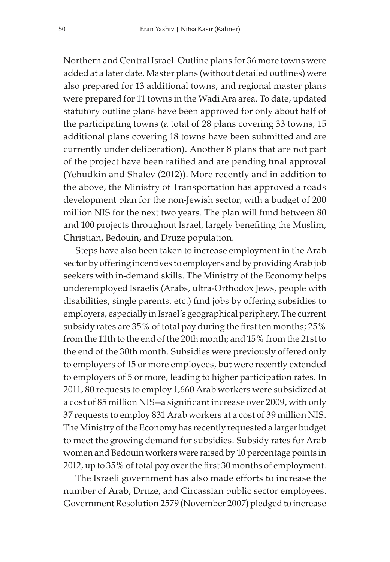Northern and Central Israel. Outline plans for 36 more towns were added at a later date. Master plans (without detailed outlines) were also prepared for 13 additional towns, and regional master plans were prepared for 11 towns in the Wadi Ara area. To date, updated statutory outline plans have been approved for only about half of the participating towns (a total of 28 plans covering 33 towns; 15 additional plans covering 18 towns have been submitted and are currently under deliberation). Another 8 plans that are not part of the project have been ratified and are pending final approval (Yehudkin and Shalev (2012)). More recently and in addition to the above, the Ministry of Transportation has approved a roads development plan for the non-Jewish sector, with a budget of 200 million NIS for the next two years. The plan will fund between 80 and 100 projects throughout Israel, largely benefiting the Muslim, Christian, Bedouin, and Druze population.

Steps have also been taken to increase employment in the Arab sector by offering incentives to employers and by providing Arab job seekers with in-demand skills. The Ministry of the Economy helps underemployed Israelis (Arabs, ultra-Orthodox Jews, people with disabilities, single parents, etc.) find jobs by offering subsidies to employers, especially in Israel's geographical periphery. The current subsidy rates are 35% of total pay during the first ten months; 25% from the 11th to the end of the 20th month; and 15% from the 21st to the end of the 30th month. Subsidies were previously offered only to employers of 15 or more employees, but were recently extended to employers of 5 or more, leading to higher participation rates. In 2011, 80 requests to employ 1,660 Arab workers were subsidized at a cost of 85 million NIS—a significant increase over 2009, with only 37 requests to employ 831 Arab workers at a cost of 39 million NIS. The Ministry of the Economy has recently requested a larger budget to meet the growing demand for subsidies. Subsidy rates for Arab women and Bedouin workers were raised by 10 percentage points in 2012, up to 35% of total pay over the first 30 months of employment.

The Israeli government has also made efforts to increase the number of Arab, Druze, and Circassian public sector employees. Government Resolution 2579 (November 2007) pledged to increase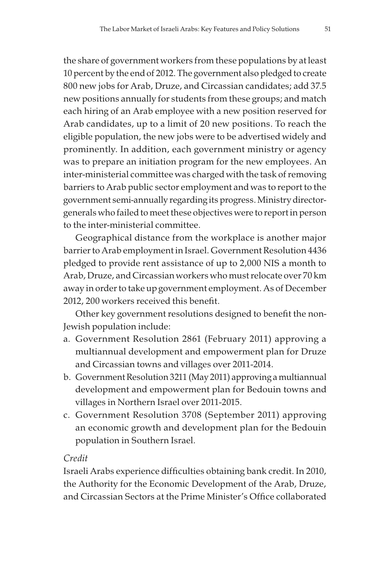the share of government workers from these populations by at least 10 percent by the end of 2012. The government also pledged to create 800 new jobs for Arab, Druze, and Circassian candidates; add 37.5 new positions annually for students from these groups; and match each hiring of an Arab employee with a new position reserved for Arab candidates, up to a limit of 20 new positions. To reach the eligible population, the new jobs were to be advertised widely and prominently. In addition, each government ministry or agency was to prepare an initiation program for the new employees. An inter-ministerial committee was charged with the task of removing barriers to Arab public sector employment and was to report to the government semi-annually regarding its progress. Ministry directorgenerals who failed to meet these objectives were to report in person to the inter-ministerial committee.

Geographical distance from the workplace is another major barrier to Arab employment in Israel. Government Resolution 4436 pledged to provide rent assistance of up to 2,000 NIS a month to Arab, Druze, and Circassian workers who must relocate over 70 km away in order to take up government employment. As of December 2012, 200 workers received this benefit.

Other key government resolutions designed to benefit the non-Jewish population include:

- a. Government Resolution 2861 (February 2011) approving a multiannual development and empowerment plan for Druze and Circassian towns and villages over 2011-2014.
- b. Government Resolution 3211 (May 2011) approving a multiannual development and empowerment plan for Bedouin towns and villages in Northern Israel over 2011-2015.
- c. Government Resolution 3708 (September 2011) approving an economic growth and development plan for the Bedouin population in Southern Israel.

#### Credit

Israeli Arabs experience difficulties obtaining bank credit. In 2010, the Authority for the Economic Development of the Arab, Druze, and Circassian Sectors at the Prime Minister's Office collaborated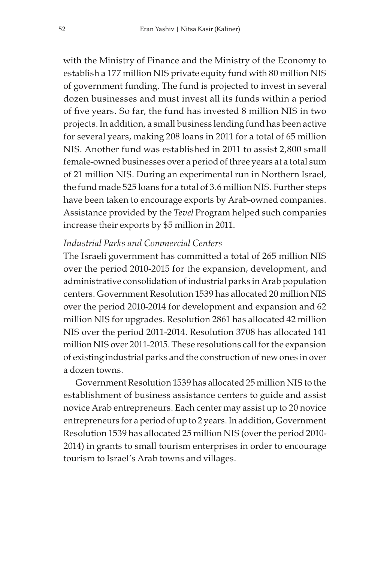with the Ministry of Finance and the Ministry of the Economy to establish a 177 million NIS private equity fund with 80 million NIS of government funding. The fund is projected to invest in several dozen businesses and must invest all its funds within a period of five years. So far, the fund has invested 8 million NIS in two projects. In addition, a small business lending fund has been active for several years, making 208 loans in 2011 for a total of 65 million NIS. Another fund was established in 2011 to assist 2,800 small female-owned businesses over a period of three years at a total sum of 21 million NIS. During an experimental run in Northern Israel, the fund made 525 loans for a total of 3.6 million NIS. Further steps have been taken to encourage exports by Arab-owned companies. Assistance provided by the Tevel Program helped such companies increase their exports by \$5 million in 2011.

#### Industrial Parks and Commercial Centers

The Israeli government has committed a total of 265 million NIS over the period 2010-2015 for the expansion, development, and administrative consolidation of industrial parks in Arab population centers. Government Resolution 1539 has allocated 20 million NIS over the period 2010-2014 for development and expansion and 62 million NIS for upgrades. Resolution 2861 has allocated 42 million NIS over the period 2011-2014. Resolution 3708 has allocated 141 million NIS over 2011-2015. These resolutions call for the expansion of existing industrial parks and the construction of new ones in over a dozen towns.

Government Resolution 1539 has allocated 25 million NIS to the establishment of business assistance centers to guide and assist novice Arab entrepreneurs. Each center may assist up to 20 novice entrepreneurs for a period of up to 2 years. In addition, Government Resolution 1539 has allocated 25 million NIS (over the period 2010- 2014) in grants to small tourism enterprises in order to encourage tourism to Israel's Arab towns and villages.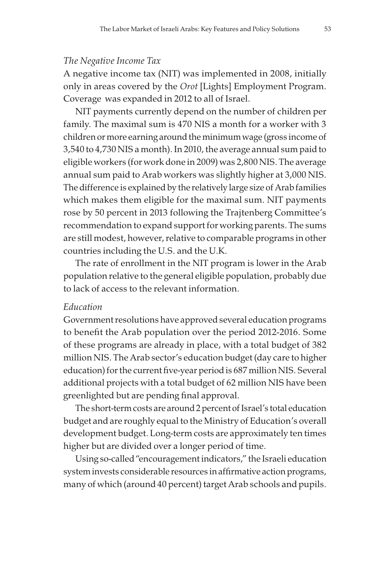#### The Negative Income Tax

A negative income tax (NIT) was implemented in 2008, initially only in areas covered by the Orot [Lights] Employment Program. Coverage was expanded in 2012 to all of Israel.

NIT payments currently depend on the number of children per family. The maximal sum is 470 NIS a month for a worker with 3 children or more earning around the minimum wage (gross income of 3,540 to 4,730 NIS a month). In 2010, the average annual sum paid to eligible workers (for work done in 2009) was 2,800 NIS. The average annual sum paid to Arab workers was slightly higher at 3,000 NIS. The difference is explained by the relatively large size of Arab families which makes them eligible for the maximal sum. NIT payments rose by 50 percent in 2013 following the Trajtenberg Committee's recommendation to expand support for working parents. The sums are still modest, however, relative to comparable programs in other countries including the U.S. and the U.K.

The rate of enrollment in the NIT program is lower in the Arab population relative to the general eligible population, probably due to lack of access to the relevant information.

#### Education

Government resolutions have approved several education programs to benefit the Arab population over the period 2012-2016. Some of these programs are already in place, with a total budget of 382 million NIS. The Arab sector's education budget (day care to higher education) for the current five-year period is 687 million NIS. Several additional projects with a total budget of 62 million NIS have been greenlighted but are pending final approval.

The short-term costs are around 2 percent of Israel's total education budget and are roughly equal to the Ministry of Education's overall development budget. Long-term costs are approximately ten times higher but are divided over a longer period of time.

Using so-called "encouragement indicators," the Israeli education system invests considerable resources in affirmative action programs, many of which (around 40 percent) target Arab schools and pupils.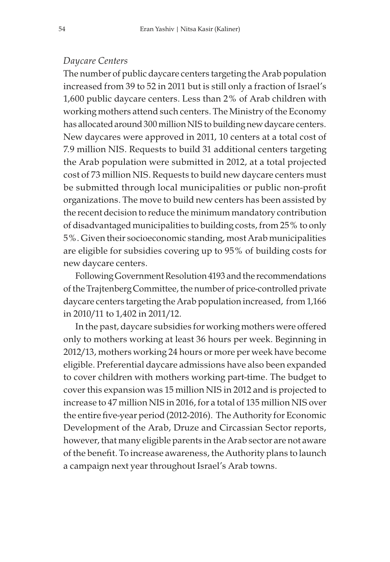#### Daycare Centers

The number of public daycare centers targeting the Arab population increased from 39 to 52 in 2011 but is still only a fraction of Israel's 1,600 public daycare centers. Less than 2% of Arab children with working mothers attend such centers. The Ministry of the Economy has allocated around 300 million NIS to building new daycare centers. New daycares were approved in 2011, 10 centers at a total cost of 7.9 million NIS. Requests to build 31 additional centers targeting the Arab population were submitted in 2012, at a total projected cost of 73 million NIS. Requests to build new daycare centers must be submitted through local municipalities or public non-profit organizations. The move to build new centers has been assisted by the recent decision to reduce the minimum mandatory contribution of disadvantaged municipalities to building costs, from 25% to only 5%. Given their socioeconomic standing, most Arab municipalities are eligible for subsidies covering up to 95% of building costs for new daycare centers.

Following Government Resolution 4193 and the recommendations of the Trajtenberg Committee, the number of price-controlled private daycare centers targeting the Arab population increased, from 1,166 in 2010/11 to 1,402 in 2011/12.

In the past, daycare subsidies for working mothers were offered only to mothers working at least 36 hours per week. Beginning in 2012/13, mothers working 24 hours or more per week have become eligible. Preferential daycare admissions have also been expanded to cover children with mothers working part-time. The budget to cover this expansion was 15 million NIS in 2012 and is projected to increase to 47 million NIS in 2016, for a total of 135 million NIS over the entire five-year period (2012-2016). The Authority for Economic Development of the Arab, Druze and Circassian Sector reports, however, that many eligible parents in the Arab sector are not aware of the benefit. To increase awareness, the Authority plans to launch a campaign next year throughout Israel's Arab towns.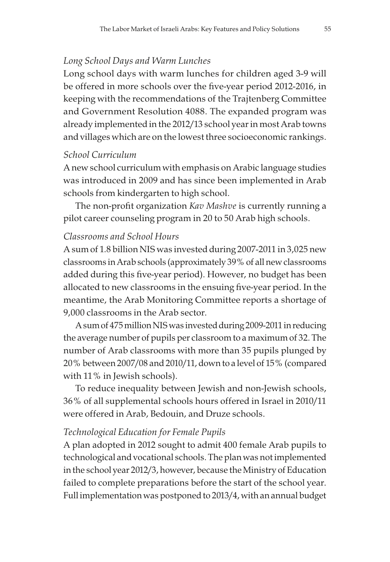#### Long School Days and Warm Lunches

Long school days with warm lunches for children aged 3-9 will be offered in more schools over the five-year period 2012-2016, in keeping with the recommendations of the Trajtenberg Committee and Government Resolution 4088. The expanded program was already implemented in the 2012/13 school year in most Arab towns and villages which are on the lowest three socioeconomic rankings.

#### School Curriculum

A new school curriculum with emphasis on Arabic language studies was introduced in 2009 and has since been implemented in Arab schools from kindergarten to high school.

The non-profit organization Kav Mashve is currently running a pilot career counseling program in 20 to 50 Arab high schools.

#### Classrooms and School Hours

A sum of 1.8 billion NIS was invested during 2007-2011 in 3,025 new classrooms in Arab schools (approximately 39% of all new classrooms added during this five-year period). However, no budget has been allocated to new classrooms in the ensuing five-year period. In the meantime, the Arab Monitoring Committee reports a shortage of 9,000 classrooms in the Arab sector.

A sum of 475 million NIS was invested during 2009-2011 in reducing the average number of pupils per classroom to a maximum of 32. The number of Arab classrooms with more than 35 pupils plunged by 20% between 2007/08 and 2010/11, down to a level of 15% (compared with 11% in Jewish schools).

To reduce inequality between Jewish and non-Jewish schools, 36% of all supplemental schools hours offered in Israel in 2010/11 were offered in Arab, Bedouin, and Druze schools.

#### Technological Education for Female Pupils

A plan adopted in 2012 sought to admit 400 female Arab pupils to technological and vocational schools. The plan was not implemented in the school year 2012/3, however, because the Ministry of Education failed to complete preparations before the start of the school year. Full implementation was postponed to 2013/4, with an annual budget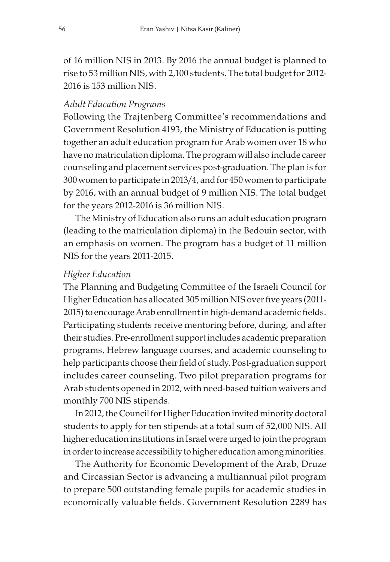of 16 million NIS in 2013. By 2016 the annual budget is planned to rise to 53 million NIS, with 2,100 students. The total budget for 2012- 2016 is 153 million NIS.

#### Adult Education Programs

Following the Trajtenberg Committee's recommendations and Government Resolution 4193, the Ministry of Education is putting together an adult education program for Arab women over 18 who have no matriculation diploma. The program will also include career counseling and placement services post-graduation. The plan is for 300 women to participate in 2013/4, and for 450 women to participate by 2016, with an annual budget of 9 million NIS. The total budget for the years 2012-2016 is 36 million NIS.

The Ministry of Education also runs an adult education program (leading to the matriculation diploma) in the Bedouin sector, with an emphasis on women. The program has a budget of 11 million NIS for the years 2011-2015.

#### Higher Education

The Planning and Budgeting Committee of the Israeli Council for Higher Education has allocated 305 million NIS over five years (2011- 2015) to encourage Arab enrollment in high-demand academic fields. Participating students receive mentoring before, during, and after their studies. Pre-enrollment support includes academic preparation programs, Hebrew language courses, and academic counseling to help participants choose their field of study. Post-graduation support includes career counseling. Two pilot preparation programs for Arab students opened in 2012, with need-based tuition waivers and monthly 700 NIS stipends.

In 2012, the Council for Higher Education invited minority doctoral students to apply for ten stipends at a total sum of 52,000 NIS. All higher education institutions in Israel were urged to join the program in order to increase accessibility to higher education among minorities.

The Authority for Economic Development of the Arab, Druze and Circassian Sector is advancing a multiannual pilot program to prepare 500 outstanding female pupils for academic studies in economically valuable fields. Government Resolution 2289 has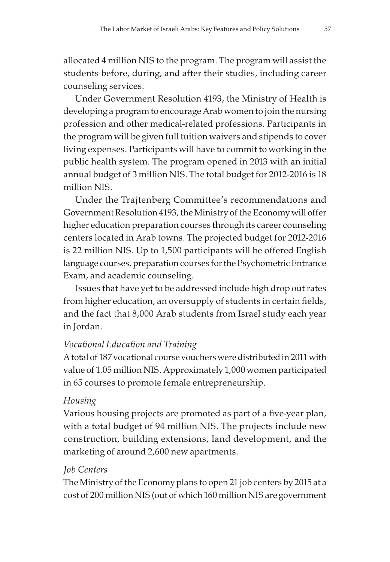allocated 4 million NIS to the program. The program will assist the students before, during, and after their studies, including career counseling services.

Under Government Resolution 4193, the Ministry of Health is developing a program to encourage Arab women to join the nursing profession and other medical-related professions. Participants in the program will be given full tuition waivers and stipends to cover living expenses. Participants will have to commit to working in the public health system. The program opened in 2013 with an initial annual budget of 3 million NIS. The total budget for 2012-2016 is 18 million NIS.

Under the Trajtenberg Committee's recommendations and Government Resolution 4193, the Ministry of the Economy will offer higher education preparation courses through its career counseling centers located in Arab towns. The projected budget for 2012-2016 is 22 million NIS. Up to 1,500 participants will be offered English language courses, preparation courses for the Psychometric Entrance Exam, and academic counseling.

Issues that have yet to be addressed include high drop out rates from higher education, an oversupply of students in certain fields, and the fact that 8,000 Arab students from Israel study each year in Jordan.

#### Vocational Education and Training

A total of 187 vocational course vouchers were distributed in 2011 with value of 1.05 million NIS. Approximately 1,000 women participated in 65 courses to promote female entrepreneurship.

#### Housing

Various housing projects are promoted as part of a five-year plan, with a total budget of 94 million NIS. The projects include new construction, building extensions, land development, and the marketing of around 2,600 new apartments.

#### Job Centers

The Ministry of the Economy plans to open 21 job centers by 2015 at a cost of 200 million NIS (out of which 160 million NIS are government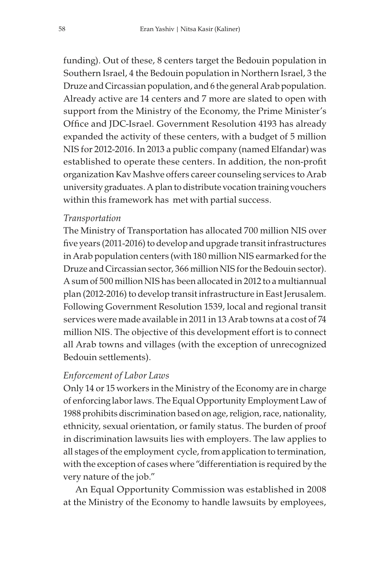funding). Out of these, 8 centers target the Bedouin population in Southern Israel, 4 the Bedouin population in Northern Israel, 3 the Druze and Circassian population, and 6 the general Arab population. Already active are 14 centers and 7 more are slated to open with support from the Ministry of the Economy, the Prime Minister's Office and JDC-Israel. Government Resolution 4193 has already expanded the activity of these centers, with a budget of 5 million NIS for 2012-2016. In 2013 a public company (named Elfandar) was established to operate these centers. In addition, the non-profit organization Kav Mashve offers career counseling services to Arab university graduates. A plan to distribute vocation training vouchers within this framework has met with partial success.

#### Transportation

The Ministry of Transportation has allocated 700 million NIS over five years (2011-2016) to develop and upgrade transit infrastructures in Arab population centers (with 180 million NIS earmarked for the Druze and Circassian sector, 366 million NIS for the Bedouin sector). A sum of 500 million NIS has been allocated in 2012 to a multiannual plan (2012-2016) to develop transit infrastructure in East Jerusalem. Following Government Resolution 1539, local and regional transit services were made available in 2011 in 13 Arab towns at a cost of 74 million NIS. The objective of this development effort is to connect all Arab towns and villages (with the exception of unrecognized Bedouin settlements).

#### Enforcement of Labor Laws

Only 14 or 15 workers in the Ministry of the Economy are in charge of enforcing labor laws. The Equal Opportunity Employment Law of 1988 prohibits discrimination based on age, religion, race, nationality, ethnicity, sexual orientation, or family status. The burden of proof in discrimination lawsuits lies with employers. The law applies to all stages of the employment cycle, from application to termination, with the exception of cases where "differentiation is required by the very nature of the job."

An Equal Opportunity Commission was established in 2008 at the Ministry of the Economy to handle lawsuits by employees,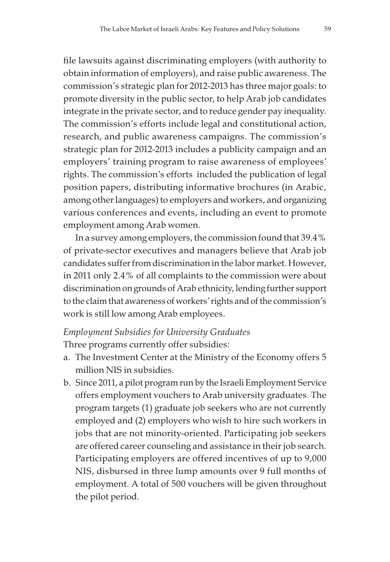file lawsuits against discriminating employers (with authority to obtain information of employers), and raise public awareness. The commission's strategic plan for 2012-2013 has three major goals: to promote diversity in the public sector, to help Arab job candidates integrate in the private sector, and to reduce gender pay inequality. The commission's efforts include legal and constitutional action, research, and public awareness campaigns. The commission's strategic plan for 2012-2013 includes a publicity campaign and an employers' training program to raise awareness of employees' rights. The commission's efforts included the publication of legal position papers, distributing informative brochures (in Arabic, among other languages) to employers and workers, and organizing various conferences and events, including an event to promote employment among Arab women.

In a survey among employers, the commission found that 39.4% of private-sector executives and managers believe that Arab job candidates suffer from discrimination in the labor market. However, in 2011 only 2.4% of all complaints to the commission were about discrimination on grounds of Arab ethnicity, lending further support to the claim that awareness of workers' rights and of the commission's work is still low among Arab employees.

## Employment Subsidies for University Graduates Three programs currently offer subsidies:

- a. The Investment Center at the Ministry of the Economy offers 5 million NIS in subsidies.
- b. Since 2011, a pilot program run by the Israeli Employment Service offers employment vouchers to Arab university graduates. The program targets (1) graduate job seekers who are not currently employed and (2) employers who wish to hire such workers in jobs that are not minority-oriented. Participating job seekers are offered career counseling and assistance in their job search. Participating employers are offered incentives of up to 9,000 NIS, disbursed in three lump amounts over 9 full months of employment. A total of 500 vouchers will be given throughout the pilot period.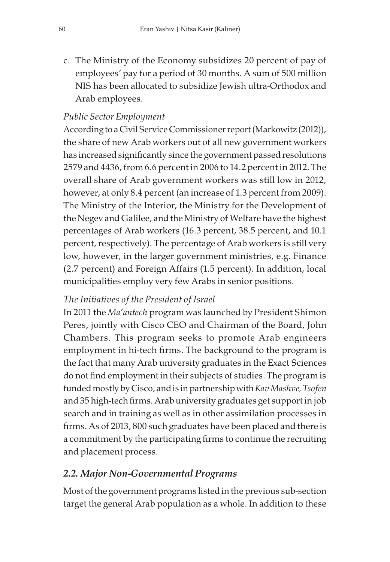c. The Ministry of the Economy subsidizes 20 percent of pay of employees' pay for a period of 30 months. A sum of 500 million NIS has been allocated to subsidize Jewish ultra-Orthodox and Arab employees.

## Public Sector Employment

According to a Civil Service Commissioner report (Markowitz (2012)), the share of new Arab workers out of all new government workers has increased significantly since the government passed resolutions 2579 and 4436, from 6.6 percent in 2006 to 14.2 percent in 2012. The overall share of Arab government workers was still low in 2012, however, at only 8.4 percent (an increase of 1.3 percent from 2009). The Ministry of the Interior, the Ministry for the Development of the Negev and Galilee, and the Ministry of Welfare have the highest percentages of Arab workers (16.3 percent, 38.5 percent, and 10.1 percent, respectively). The percentage of Arab workers is still very low, however, in the larger government ministries, e.g. Finance (2.7 percent) and Foreign Affairs (1.5 percent). In addition, local municipalities employ very few Arabs in senior positions.

## The Initiatives of the President of Israel

In 2011 the Ma'antech program was launched by President Shimon Peres, jointly with Cisco CEO and Chairman of the Board, John Chambers. This program seeks to promote Arab engineers employment in hi-tech firms. The background to the program is the fact that many Arab university graduates in the Exact Sciences do not find employment in their subjects of studies. The program is funded mostly by Cisco, and is in partnership with Kav Mashve, Tsofen and 35 high-tech firms. Arab university graduates get support in job search and in training as well as in other assimilation processes in firms. As of 2013, 800 such graduates have been placed and there is a commitment by the participating firms to continue the recruiting and placement process.

# 2.2. Major Non-Governmental Programs

Most of the government programs listed in the previous sub-section target the general Arab population as a whole. In addition to these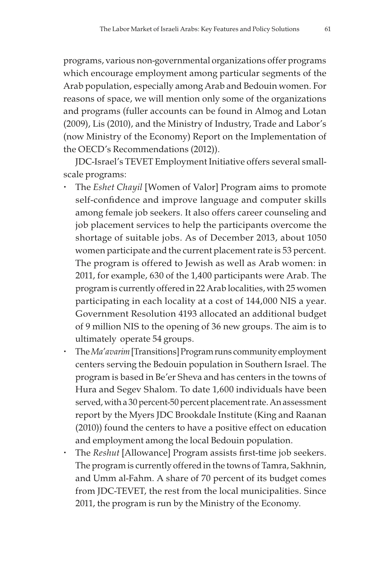programs, various non-governmental organizations offer programs which encourage employment among particular segments of the Arab population, especially among Arab and Bedouin women. For reasons of space, we will mention only some of the organizations and programs (fuller accounts can be found in Almog and Lotan (2009), Lis (2010), and the Ministry of Industry, Trade and Labor's (now Ministry of the Economy) Report on the Implementation of the OECD's Recommendations (2012)).

JDC-Israel's TEVET Employment Initiative offers several smallscale programs:

- The Eshet Chayil [Women of Valor] Program aims to promote self-confidence and improve language and computer skills among female job seekers. It also offers career counseling and job placement services to help the participants overcome the shortage of suitable jobs. As of December 2013, about 1050 women participate and the current placement rate is 53 percent. The program is offered to Jewish as well as Arab women: in 2011, for example, 630 of the 1,400 participants were Arab. The program is currently offered in 22 Arab localities, with 25 women participating in each locality at a cost of 144,000 NIS a year. Government Resolution 4193 allocated an additional budget of 9 million NIS to the opening of 36 new groups. The aim is to ultimately operate 54 groups.
- The Ma'avarim [Transitions] Program runs community employment centers serving the Bedouin population in Southern Israel. The program is based in Be'er Sheva and has centers in the towns of Hura and Segev Shalom. To date 1,600 individuals have been served, with a 30 percent-50 percent placement rate. An assessment report by the Myers JDC Brookdale Institute (King and Raanan (2010)) found the centers to have a positive effect on education and employment among the local Bedouin population.
- The Reshut [Allowance] Program assists first-time job seekers. The program is currently offered in the towns of Tamra, Sakhnin, and Umm al-Fahm. A share of 70 percent of its budget comes from JDC-TEVET, the rest from the local municipalities. Since 2011, the program is run by the Ministry of the Economy.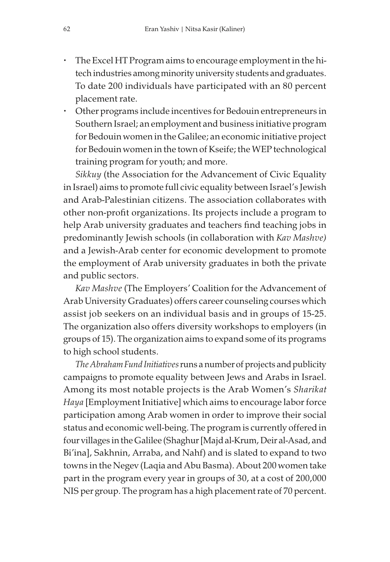- The Excel HT Program aims to encourage employment in the hitech industries among minority university students and graduates. To date 200 individuals have participated with an 80 percent placement rate.
- Other programs include incentives for Bedouin entrepreneurs in Southern Israel; an employment and business initiative program for Bedouin women in the Galilee; an economic initiative project for Bedouin women in the town of Kseife; the WEP technological training program for youth; and more.

Sikkuy (the Association for the Advancement of Civic Equality in Israel) aims to promote full civic equality between Israel's Jewish and Arab-Palestinian citizens. The association collaborates with other non-profit organizations. Its projects include a program to help Arab university graduates and teachers find teaching jobs in predominantly Jewish schools (in collaboration with Kav Mashve) and a Jewish-Arab center for economic development to promote the employment of Arab university graduates in both the private and public sectors.

Kav Mashve (The Employers' Coalition for the Advancement of Arab University Graduates) offers career counseling courses which assist job seekers on an individual basis and in groups of 15-25. The organization also offers diversity workshops to employers (in groups of 15). The organization aims to expand some of its programs to high school students.

The Abraham Fund Initiatives runs a number of projects and publicity campaigns to promote equality between Jews and Arabs in Israel. Among its most notable projects is the Arab Women's Sharikat Haya [Employment Initiative] which aims to encourage labor force participation among Arab women in order to improve their social status and economic well-being. The program is currently offered in four villages in the Galilee (Shaghur [Majd al-Krum, Deir al-Asad, and Bi'ina], Sakhnin, Arraba, and Nahf) and is slated to expand to two towns in the Negev (Laqia and Abu Basma). About 200 women take part in the program every year in groups of 30, at a cost of 200,000 NIS per group. The program has a high placement rate of 70 percent.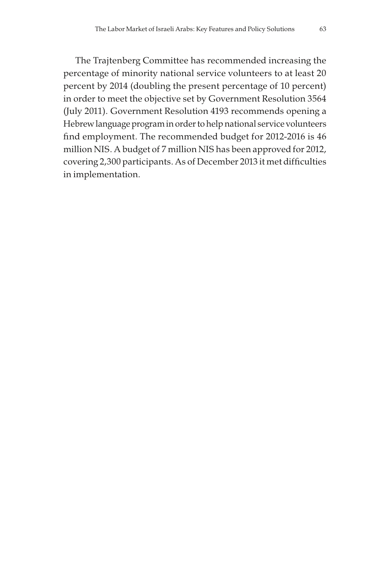The Trajtenberg Committee has recommended increasing the percentage of minority national service volunteers to at least 20 percent by 2014 (doubling the present percentage of 10 percent) in order to meet the objective set by Government Resolution 3564 (July 2011). Government Resolution 4193 recommends opening a Hebrew language program in order to help national service volunteers find employment. The recommended budget for 2012-2016 is 46 million NIS. A budget of 7 million NIS has been approved for 2012, covering 2,300 participants. As of December 2013 it met difficulties in implementation.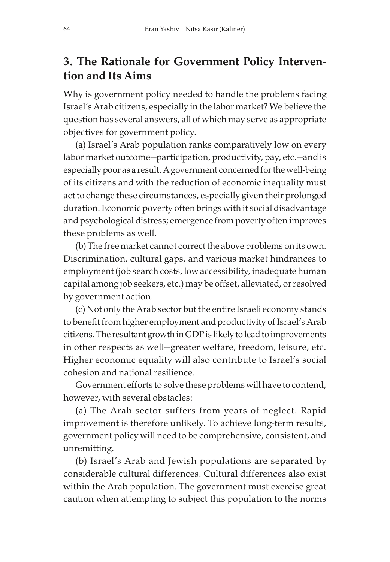# 3. The Rationale for Government Policy Intervention and Its Aims

Why is government policy needed to handle the problems facing Israel's Arab citizens, especially in the labor market? We believe the question has several answers, all of which may serve as appropriate objectives for government policy.

(a) Israel's Arab population ranks comparatively low on every labor market outcome—participation, productivity, pay, etc.—and is especially poor as a result. A government concerned for the well-being of its citizens and with the reduction of economic inequality must act to change these circumstances, especially given their prolonged duration. Economic poverty often brings with it social disadvantage and psychological distress; emergence from poverty often improves these problems as well.

(b) The free market cannot correct the above problems on its own. Discrimination, cultural gaps, and various market hindrances to employment (job search costs, low accessibility, inadequate human capital among job seekers, etc.) may be offset, alleviated, or resolved by government action.

(c) Not only the Arab sector but the entire Israeli economy stands to benefit from higher employment and productivity of Israel's Arab citizens. The resultant growth in GDP is likely to lead to improvements in other respects as well—greater welfare, freedom, leisure, etc. Higher economic equality will also contribute to Israel's social cohesion and national resilience.

Government efforts to solve these problems will have to contend, however, with several obstacles:

(a) The Arab sector suffers from years of neglect. Rapid improvement is therefore unlikely. To achieve long-term results, government policy will need to be comprehensive, consistent, and unremitting.

(b) Israel's Arab and Jewish populations are separated by considerable cultural differences. Cultural differences also exist within the Arab population. The government must exercise great caution when attempting to subject this population to the norms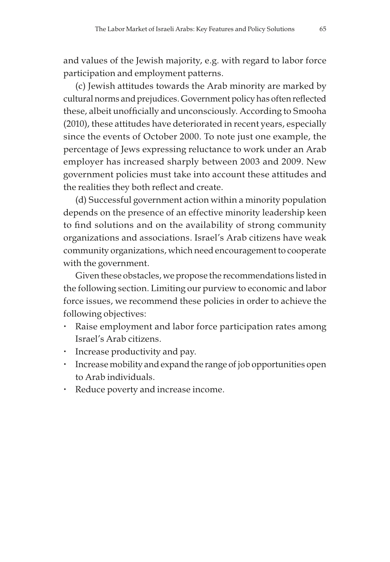and values of the Jewish majority, e.g. with regard to labor force participation and employment patterns.

(c) Jewish attitudes towards the Arab minority are marked by cultural norms and prejudices. Government policy has often reflected these, albeit unofficially and unconsciously. According to Smooha (2010), these attitudes have deteriorated in recent years, especially since the events of October 2000. To note just one example, the percentage of Jews expressing reluctance to work under an Arab employer has increased sharply between 2003 and 2009. New government policies must take into account these attitudes and the realities they both reflect and create.

(d) Successful government action within a minority population depends on the presence of an effective minority leadership keen to find solutions and on the availability of strong community organizations and associations. Israel's Arab citizens have weak community organizations, which need encouragement to cooperate with the government.

Given these obstacles, we propose the recommendations listed in the following section. Limiting our purview to economic and labor force issues, we recommend these policies in order to achieve the following objectives:

- Raise employment and labor force participation rates among Israel's Arab citizens.
- Increase productivity and pay.
- Increase mobility and expand the range of job opportunities open to Arab individuals.
- Reduce poverty and increase income.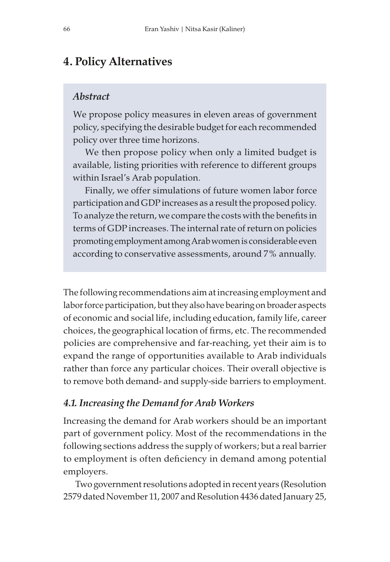## 4. Policy Alternatives

#### Abstract

We propose policy measures in eleven areas of government policy, specifying the desirable budget for each recommended policy over three time horizons.

We then propose policy when only a limited budget is available, listing priorities with reference to different groups within Israel's Arab population.

Finally, we offer simulations of future women labor force participation and GDP increases as a result the proposed policy. To analyze the return, we compare the costs with the benefits in terms of GDP increases. The internal rate of return on policies promoting employment among Arab women is considerable even according to conservative assessments, around 7% annually.

The following recommendations aim at increasing employment and labor force participation, but they also have bearing on broader aspects of economic and social life, including education, family life, career choices, the geographical location of firms, etc. The recommended policies are comprehensive and far-reaching, yet their aim is to expand the range of opportunities available to Arab individuals rather than force any particular choices. Their overall objective is to remove both demand- and supply-side barriers to employment.

#### 4.1. Increasing the Demand for Arab Workers

Increasing the demand for Arab workers should be an important part of government policy. Most of the recommendations in the following sections address the supply of workers; but a real barrier to employment is often deficiency in demand among potential employers.

Two government resolutions adopted in recent years (Resolution 2579 dated November 11, 2007 and Resolution 4436 dated January 25,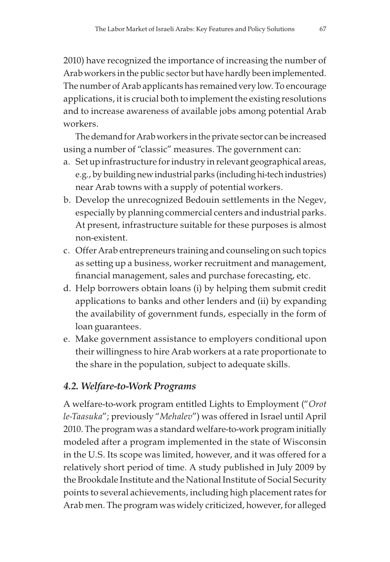2010) have recognized the importance of increasing the number of Arab workers in the public sector but have hardly been implemented. The number of Arab applicants has remained very low. To encourage applications, it is crucial both to implement the existing resolutions and to increase awareness of available jobs among potential Arab workers.

The demand for Arab workers in the private sector can be increased using a number of "classic" measures. The government can:

- a. Set up infrastructure for industry in relevant geographical areas, e.g., by building new industrial parks (including hi-tech industries) near Arab towns with a supply of potential workers.
- b. Develop the unrecognized Bedouin settlements in the Negev, especially by planning commercial centers and industrial parks. At present, infrastructure suitable for these purposes is almost non-existent.
- c. Offer Arab entrepreneurs training and counseling on such topics as setting up a business, worker recruitment and management, financial management, sales and purchase forecasting, etc.
- d. Help borrowers obtain loans (i) by helping them submit credit applications to banks and other lenders and (ii) by expanding the availability of government funds, especially in the form of loan guarantees.
- e. Make government assistance to employers conditional upon their willingness to hire Arab workers at a rate proportionate to the share in the population, subject to adequate skills.

## 4.2. Welfare-to-Work Programs

A welfare-to-work program entitled Lights to Employment ("Orot le-Taasuka"; previously "Mehalev") was offered in Israel until April 2010. The program was a standard welfare-to-work program initially modeled after a program implemented in the state of Wisconsin in the U.S. Its scope was limited, however, and it was offered for a relatively short period of time. A study published in July 2009 by the Brookdale Institute and the National Institute of Social Security points to several achievements, including high placement rates for Arab men. The program was widely criticized, however, for alleged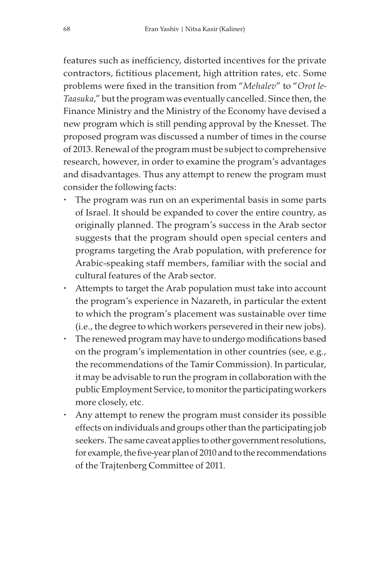features such as inefficiency, distorted incentives for the private contractors, fictitious placement, high attrition rates, etc. Some problems were fixed in the transition from "Mehalev" to "Orot le-Taasuka," but the program was eventually cancelled. Since then, the Finance Ministry and the Ministry of the Economy have devised a new program which is still pending approval by the Knesset. The proposed program was discussed a number of times in the course of 2013. Renewal of the program must be subject to comprehensive research, however, in order to examine the program's advantages and disadvantages. Thus any attempt to renew the program must consider the following facts:

- The program was run on an experimental basis in some parts of Israel. It should be expanded to cover the entire country, as originally planned. The program's success in the Arab sector suggests that the program should open special centers and programs targeting the Arab population, with preference for Arabic-speaking staff members, familiar with the social and cultural features of the Arab sector.
- Attempts to target the Arab population must take into account the program's experience in Nazareth, in particular the extent to which the program's placement was sustainable over time (i.e., the degree to which workers persevered in their new jobs).
- The renewed program may have to undergo modifications based on the program's implementation in other countries (see, e.g., the recommendations of the Tamir Commission). In particular, it may be advisable to run the program in collaboration with the public Employment Service, to monitor the participating workers more closely, etc.
- Any attempt to renew the program must consider its possible effects on individuals and groups other than the participating job seekers. The same caveat applies to other government resolutions, for example, the five-year plan of 2010 and to the recommendations of the Trajtenberg Committee of 2011.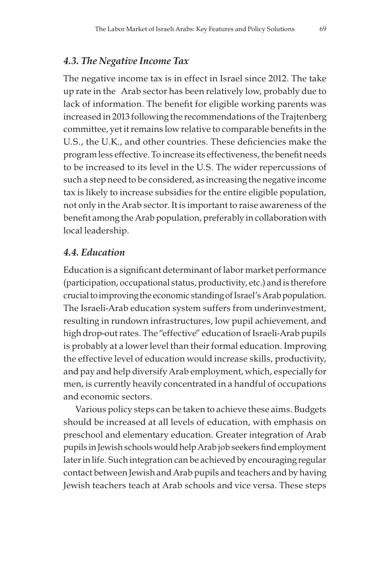## 4.3. The Negative Income Tax

The negative income tax is in effect in Israel since 2012. The take up rate in the Arab sector has been relatively low, probably due to lack of information. The benefit for eligible working parents was increased in 2013 following the recommendations of the Trajtenberg committee, yet it remains low relative to comparable benefits in the U.S., the U.K., and other countries. These deficiencies make the program less effective. To increase its effectiveness, the benefit needs to be increased to its level in the U.S. The wider repercussions of such a step need to be considered, as increasing the negative income tax is likely to increase subsidies for the entire eligible population, not only in the Arab sector. It is important to raise awareness of the benefit among the Arab population, preferably in collaboration with local leadership.

#### 4.4. Education

Education is a significant determinant of labor market performance (participation, occupational status, productivity, etc.) and is therefore crucial to improving the economic standing of Israel's Arab population. The Israeli-Arab education system suffers from underinvestment, resulting in rundown infrastructures, low pupil achievement, and high drop-out rates. The "effective" education of Israeli-Arab pupils is probably at a lower level than their formal education. Improving the effective level of education would increase skills, productivity, and pay and help diversify Arab employment, which, especially for men, is currently heavily concentrated in a handful of occupations and economic sectors.

Various policy steps can be taken to achieve these aims. Budgets should be increased at all levels of education, with emphasis on preschool and elementary education. Greater integration of Arab pupils in Jewish schools would help Arab job seekers find employment later in life. Such integration can be achieved by encouraging regular contact between Jewish and Arab pupils and teachers and by having Jewish teachers teach at Arab schools and vice versa. These steps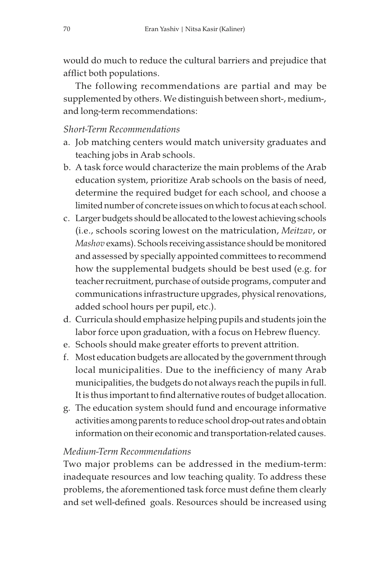would do much to reduce the cultural barriers and prejudice that afflict both populations.

The following recommendations are partial and may be supplemented by others. We distinguish between short-, medium-, and long-term recommendations:

## Short-Term Recommendations

- a. Job matching centers would match university graduates and teaching jobs in Arab schools.
- b. A task force would characterize the main problems of the Arab education system, prioritize Arab schools on the basis of need, determine the required budget for each school, and choose a limited number of concrete issues on which to focus at each school.
- c. Larger budgets should be allocated to the lowest achieving schools (i.e., schools scoring lowest on the matriculation, Meitzav, or Mashov exams). Schools receiving assistance should be monitored and assessed by specially appointed committees to recommend how the supplemental budgets should be best used (e.g. for teacher recruitment, purchase of outside programs, computer and communications infrastructure upgrades, physical renovations, added school hours per pupil, etc.).
- d. Curricula should emphasize helping pupils and students join the labor force upon graduation, with a focus on Hebrew fluency.
- e. Schools should make greater efforts to prevent attrition.
- f. Most education budgets are allocated by the government through local municipalities. Due to the inefficiency of many Arab municipalities, the budgets do not always reach the pupils in full. It is thus important to find alternative routes of budget allocation.
- g. The education system should fund and encourage informative activities among parents to reduce school drop-out rates and obtain information on their economic and transportation-related causes.

## Medium-Term Recommendations

Two major problems can be addressed in the medium-term: inadequate resources and low teaching quality. To address these problems, the aforementioned task force must define them clearly and set well-defined goals. Resources should be increased using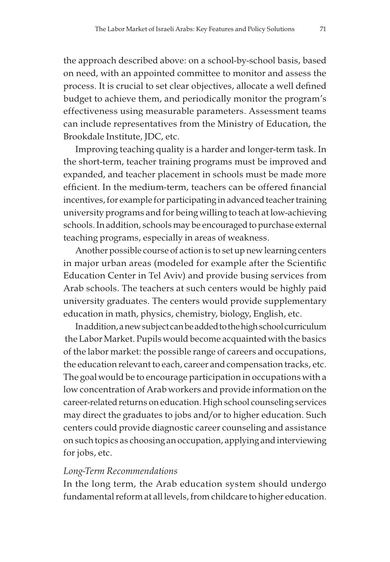the approach described above: on a school-by-school basis, based on need, with an appointed committee to monitor and assess the process. It is crucial to set clear objectives, allocate a well defined budget to achieve them, and periodically monitor the program's effectiveness using measurable parameters. Assessment teams can include representatives from the Ministry of Education, the Brookdale Institute, JDC, etc.

Improving teaching quality is a harder and longer-term task. In the short-term, teacher training programs must be improved and expanded, and teacher placement in schools must be made more efficient. In the medium-term, teachers can be offered financial incentives, for example for participating in advanced teacher training university programs and for being willing to teach at low-achieving schools. In addition, schools may be encouraged to purchase external teaching programs, especially in areas of weakness.

Another possible course of action is to set up new learning centers in major urban areas (modeled for example after the Scientific Education Center in Tel Aviv) and provide busing services from Arab schools. The teachers at such centers would be highly paid university graduates. The centers would provide supplementary education in math, physics, chemistry, biology, English, etc.

In addition, a new subject can be added to the high school curriculum the Labor Market. Pupils would become acquainted with the basics of the labor market: the possible range of careers and occupations, the education relevant to each, career and compensation tracks, etc. The goal would be to encourage participation in occupations with a low concentration of Arab workers and provide information on the career-related returns on education. High school counseling services may direct the graduates to jobs and/or to higher education. Such centers could provide diagnostic career counseling and assistance on such topics as choosing an occupation, applying and interviewing for jobs, etc.

#### Long-Term Recommendations

In the long term, the Arab education system should undergo fundamental reform at all levels, from childcare to higher education.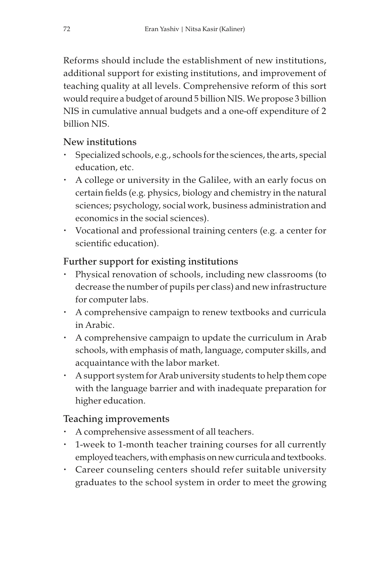Reforms should include the establishment of new institutions, additional support for existing institutions, and improvement of teaching quality at all levels. Comprehensive reform of this sort would require a budget of around 5 billion NIS. We propose 3 billion NIS in cumulative annual budgets and a one-off expenditure of 2 billion NIS.

### New institutions

- Specialized schools, e.g., schools for the sciences, the arts, special education, etc.
- A college or university in the Galilee, with an early focus on certain fields (e.g. physics, biology and chemistry in the natural sciences; psychology, social work, business administration and economics in the social sciences).
- Vocational and professional training centers (e.g. a center for scientific education).

# Further support for existing institutions

- Physical renovation of schools, including new classrooms (to decrease the number of pupils per class) and new infrastructure for computer labs.
- A comprehensive campaign to renew textbooks and curricula in Arabic.
- A comprehensive campaign to update the curriculum in Arab schools, with emphasis of math, language, computer skills, and acquaintance with the labor market.
- A support system for Arab university students to help them cope with the language barrier and with inadequate preparation for higher education.

# Teaching improvements

- A comprehensive assessment of all teachers.
- 1-week to 1-month teacher training courses for all currently employed teachers, with emphasis on new curricula and textbooks.
- Career counseling centers should refer suitable university graduates to the school system in order to meet the growing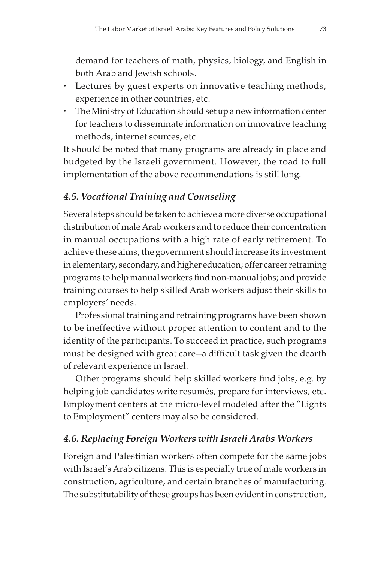demand for teachers of math, physics, biology, and English in both Arab and Jewish schools.

- Lectures by guest experts on innovative teaching methods, experience in other countries, etc.
- The Ministry of Education should set up a new information center for teachers to disseminate information on innovative teaching methods, internet sources, etc.

It should be noted that many programs are already in place and budgeted by the Israeli government. However, the road to full implementation of the above recommendations is still long.

# 4.5. Vocational Training and Counseling

Several steps should be taken to achieve a more diverse occupational distribution of male Arab workers and to reduce their concentration in manual occupations with a high rate of early retirement. To achieve these aims, the government should increase its investment in elementary, secondary, and higher education; offer career retraining programs to help manual workers find non-manual jobs; and provide training courses to help skilled Arab workers adjust their skills to employers' needs.

Professional training and retraining programs have been shown to be ineffective without proper attention to content and to the identity of the participants. To succeed in practice, such programs must be designed with great care—a difficult task given the dearth of relevant experience in Israel.

Other programs should help skilled workers find jobs, e.g. by helping job candidates write resumés, prepare for interviews, etc. Employment centers at the micro-level modeled after the "Lights to Employment" centers may also be considered.

# 4.6. Replacing Foreign Workers with Israeli Arabs Workers

Foreign and Palestinian workers often compete for the same jobs with Israel's Arab citizens. This is especially true of male workers in construction, agriculture, and certain branches of manufacturing. The substitutability of these groups has been evident in construction,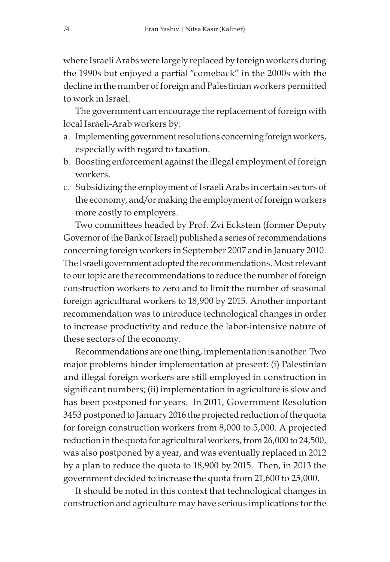where Israeli Arabs were largely replaced by foreign workers during the 1990s but enjoyed a partial "comeback" in the 2000s with the decline in the number of foreign and Palestinian workers permitted to work in Israel.

The government can encourage the replacement of foreign with local Israeli-Arab workers by:

- a. Implementing government resolutions concerning foreign workers, especially with regard to taxation.
- b. Boosting enforcement against the illegal employment of foreign workers.
- c. Subsidizing the employment of Israeli Arabs in certain sectors of the economy, and/or making the employment of foreign workers more costly to employers.

Two committees headed by Prof. Zvi Eckstein (former Deputy Governor of the Bank of Israel) published a series of recommendations concerning foreign workers in September 2007 and in January 2010. The Israeli government adopted the recommendations. Most relevant to our topic are the recommendations to reduce the number of foreign construction workers to zero and to limit the number of seasonal foreign agricultural workers to 18,900 by 2015. Another important recommendation was to introduce technological changes in order to increase productivity and reduce the labor-intensive nature of these sectors of the economy.

Recommendations are one thing, implementation is another. Two major problems hinder implementation at present: (i) Palestinian and illegal foreign workers are still employed in construction in significant numbers; (ii) implementation in agriculture is slow and has been postponed for years. In 2011, Government Resolution 3453 postponed to January 2016 the projected reduction of the quota for foreign construction workers from 8,000 to 5,000. A projected reduction in the quota for agricultural workers, from 26,000 to 24,500, was also postponed by a year, and was eventually replaced in 2012 by a plan to reduce the quota to 18,900 by 2015. Then, in 2013 the government decided to increase the quota from 21,600 to 25,000.

It should be noted in this context that technological changes in construction and agriculture may have serious implications for the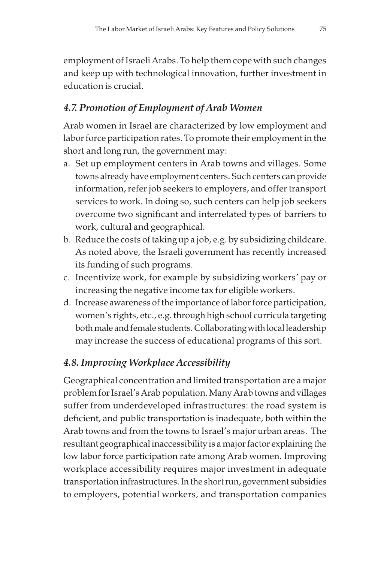employment of Israeli Arabs. To help them cope with such changes and keep up with technological innovation, further investment in education is crucial.

# 4.7. Promotion of Employment of Arab Women

Arab women in Israel are characterized by low employment and labor force participation rates. To promote their employment in the short and long run, the government may:

- a. Set up employment centers in Arab towns and villages. Some towns already have employment centers. Such centers can provide information, refer job seekers to employers, and offer transport services to work. In doing so, such centers can help job seekers overcome two significant and interrelated types of barriers to work, cultural and geographical.
- b. Reduce the costs of taking up a job, e.g. by subsidizing childcare. As noted above, the Israeli government has recently increased its funding of such programs.
- c. Incentivize work, for example by subsidizing workers' pay or increasing the negative income tax for eligible workers.
- d. Increase awareness of the importance of labor force participation, women's rights, etc., e.g. through high school curricula targeting both male and female students. Collaborating with local leadership may increase the success of educational programs of this sort.

# 4.8. Improving Workplace Accessibility

Geographical concentration and limited transportation are a major problem for Israel's Arab population. Many Arab towns and villages suffer from underdeveloped infrastructures: the road system is deficient, and public transportation is inadequate, both within the Arab towns and from the towns to Israel's major urban areas. The resultant geographical inaccessibility is a major factor explaining the low labor force participation rate among Arab women. Improving workplace accessibility requires major investment in adequate transportation infrastructures. In the short run, government subsidies to employers, potential workers, and transportation companies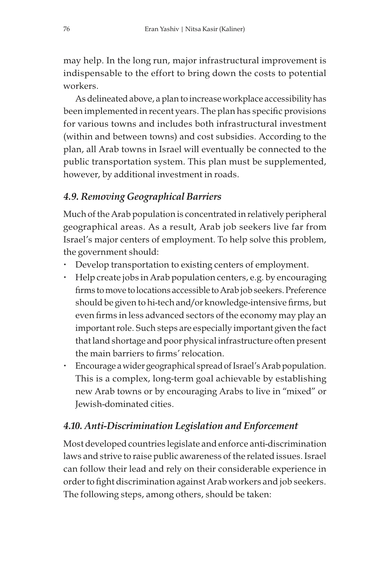may help. In the long run, major infrastructural improvement is indispensable to the effort to bring down the costs to potential workers.

As delineated above, a plan to increase workplace accessibility has been implemented in recent years. The plan has specific provisions for various towns and includes both infrastructural investment (within and between towns) and cost subsidies. According to the plan, all Arab towns in Israel will eventually be connected to the public transportation system. This plan must be supplemented, however, by additional investment in roads.

### 4.9. Removing Geographical Barriers

Much of the Arab population is concentrated in relatively peripheral geographical areas. As a result, Arab job seekers live far from Israel's major centers of employment. To help solve this problem, the government should:

- Develop transportation to existing centers of employment.
- Help create jobs in Arab population centers, e.g. by encouraging firms to move to locations accessible to Arab job seekers. Preference should be given to hi-tech and/or knowledge-intensive firms, but even firms in less advanced sectors of the economy may play an important role. Such steps are especially important given the fact that land shortage and poor physical infrastructure often present the main barriers to firms' relocation.
- Encourage a wider geographical spread of Israel's Arab population. This is a complex, long-term goal achievable by establishing new Arab towns or by encouraging Arabs to live in "mixed" or Jewish-dominated cities.

#### 4.10. Anti-Discrimination Legislation and Enforcement

Most developed countries legislate and enforce anti-discrimination laws and strive to raise public awareness of the related issues. Israel can follow their lead and rely on their considerable experience in order to fight discrimination against Arab workers and job seekers. The following steps, among others, should be taken: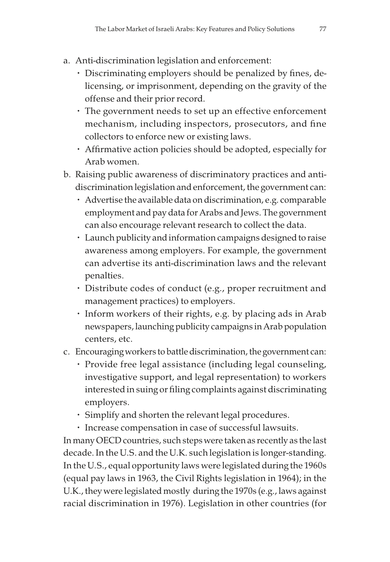- a. Anti-discrimination legislation and enforcement:
	- Discriminating employers should be penalized by fines, delicensing, or imprisonment, depending on the gravity of the offense and their prior record.
	- The government needs to set up an effective enforcement mechanism, including inspectors, prosecutors, and fine collectors to enforce new or existing laws.
	- Affirmative action policies should be adopted, especially for Arab women.
- b. Raising public awareness of discriminatory practices and antidiscrimination legislation and enforcement, the government can:
	- Advertise the available data on discrimination, e.g. comparable employment and pay data for Arabs and Jews. The government can also encourage relevant research to collect the data.
	- Launch publicity and information campaigns designed to raise awareness among employers. For example, the government can advertise its anti-discrimination laws and the relevant penalties.
	- Distribute codes of conduct (e.g., proper recruitment and management practices) to employers.
	- Inform workers of their rights, e.g. by placing ads in Arab newspapers, launching publicity campaigns in Arab population centers, etc.
- c. Encouraging workers to battle discrimination, the government can:
	- Provide free legal assistance (including legal counseling, investigative support, and legal representation) to workers interested in suing or filing complaints against discriminating employers.
	- Simplify and shorten the relevant legal procedures.
	- Increase compensation in case of successful lawsuits.

In many OECD countries, such steps were taken as recently as the last decade. In the U.S. and the U.K. such legislation is longer-standing. In the U.S., equal opportunity laws were legislated during the 1960s (equal pay laws in 1963, the Civil Rights legislation in 1964); in the U.K., they were legislated mostly during the 1970s (e.g., laws against racial discrimination in 1976). Legislation in other countries (for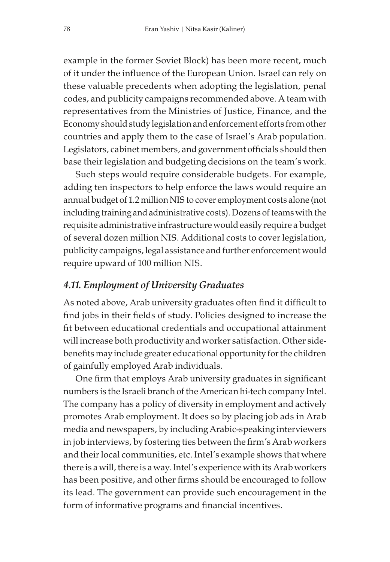example in the former Soviet Block) has been more recent, much of it under the influence of the European Union. Israel can rely on these valuable precedents when adopting the legislation, penal codes, and publicity campaigns recommended above. A team with representatives from the Ministries of Justice, Finance, and the Economy should study legislation and enforcement efforts from other countries and apply them to the case of Israel's Arab population. Legislators, cabinet members, and government officials should then base their legislation and budgeting decisions on the team's work.

Such steps would require considerable budgets. For example, adding ten inspectors to help enforce the laws would require an annual budget of 1.2 million NIS to cover employment costs alone (not including training and administrative costs). Dozens of teams with the requisite administrative infrastructure would easily require a budget of several dozen million NIS. Additional costs to cover legislation, publicity campaigns, legal assistance and further enforcement would require upward of 100 million NIS.

#### 4.11. Employment of University Graduates

As noted above, Arab university graduates often find it difficult to find jobs in their fields of study. Policies designed to increase the fit between educational credentials and occupational attainment will increase both productivity and worker satisfaction. Other sidebenefits may include greater educational opportunity for the children of gainfully employed Arab individuals.

One firm that employs Arab university graduates in significant numbers is the Israeli branch of the American hi-tech company Intel. The company has a policy of diversity in employment and actively promotes Arab employment. It does so by placing job ads in Arab media and newspapers, by including Arabic-speaking interviewers in job interviews, by fostering ties between the firm's Arab workers and their local communities, etc. Intel's example shows that where there is a will, there is a way. Intel's experience with its Arab workers has been positive, and other firms should be encouraged to follow its lead. The government can provide such encouragement in the form of informative programs and financial incentives.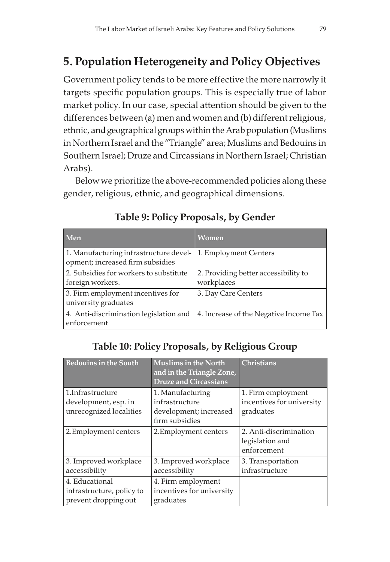# 5. Population Heterogeneity and Policy Objectives

Government policy tends to be more effective the more narrowly it targets specific population groups. This is especially true of labor market policy. In our case, special attention should be given to the differences between (a) men and women and (b) different religious, ethnic, and geographical groups within the Arab population (Muslims in Northern Israel and the "Triangle" area; Muslims and Bedouins in Southern Israel; Druze and Circassians in Northern Israel; Christian Arabs).

Below we prioritize the above-recommended policies along these gender, religious, ethnic, and geographical dimensions.

| Men                                                                        | <b>Women</b>                           |
|----------------------------------------------------------------------------|----------------------------------------|
| 1. Manufacturing infrastructure devel-                                     | 1. Employment Centers                  |
| opment; increased firm subsidies<br>2. Subsidies for workers to substitute | 2. Providing better accessibility to   |
| foreign workers.                                                           | workplaces                             |
| 3. Firm employment incentives for<br>university graduates                  | 3. Day Care Centers                    |
| 4. Anti-discrimination legislation and<br>enforcement                      | 4. Increase of the Negative Income Tax |

# Table 9: Policy Proposals, by Gender

# Table 10: Policy Proposals, by Religious Group

| <b>Bedouins in the South</b>                                         | <b>Muslims in the North</b><br>and in the Triangle Zone,<br><b>Druze and Circassians</b> | <b>Christians</b>                                            |
|----------------------------------------------------------------------|------------------------------------------------------------------------------------------|--------------------------------------------------------------|
| 1. Infrastructure<br>development, esp. in<br>unrecognized localities | 1. Manufacturing<br>infrastructure<br>development; increased<br>firm subsidies           | 1. Firm employment<br>incentives for university<br>graduates |
| 2. Employment centers                                                | 2. Employment centers                                                                    | 2. Anti-discrimination<br>legislation and<br>enforcement     |
| 3. Improved workplace<br>accessibility                               | 3. Improved workplace<br>accessibility                                                   | 3. Transportation<br>infrastructure                          |
| 4. Educational<br>infrastructure, policy to<br>prevent dropping out  | 4. Firm employment<br>incentives for university<br>graduates                             |                                                              |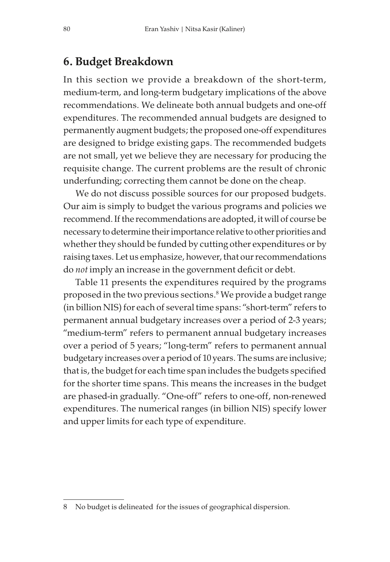# 6. Budget Breakdown

In this section we provide a breakdown of the short-term, medium-term, and long-term budgetary implications of the above recommendations. We delineate both annual budgets and one-off expenditures. The recommended annual budgets are designed to permanently augment budgets; the proposed one-off expenditures are designed to bridge existing gaps. The recommended budgets are not small, yet we believe they are necessary for producing the requisite change. The current problems are the result of chronic underfunding; correcting them cannot be done on the cheap.

We do not discuss possible sources for our proposed budgets. Our aim is simply to budget the various programs and policies we recommend. If the recommendations are adopted, it will of course be necessary to determine their importance relative to other priorities and whether they should be funded by cutting other expenditures or by raising taxes. Let us emphasize, however, that our recommendations do not imply an increase in the government deficit or debt.

Table 11 presents the expenditures required by the programs proposed in the two previous sections.<sup>8</sup> We provide a budget range (in billion NIS) for each of several time spans: "short-term" refers to permanent annual budgetary increases over a period of 2-3 years; "medium-term" refers to permanent annual budgetary increases over a period of 5 years; "long-term" refers to permanent annual budgetary increases over a period of 10 years. The sums are inclusive; that is, the budget for each time span includes the budgets specified for the shorter time spans. This means the increases in the budget are phased-in gradually. "One-off" refers to one-off, non-renewed expenditures. The numerical ranges (in billion NIS) specify lower and upper limits for each type of expenditure.

<sup>8</sup> No budget is delineated for the issues of geographical dispersion.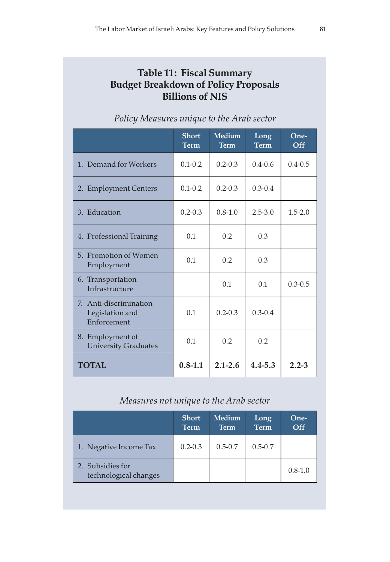# Table 11: Fiscal Summary Budget Breakdown of Policy Proposals Billions of NIS

|                                                          | <b>Short</b><br><b>Term</b> | <b>Medium</b><br><b>Term</b> | Long<br><b>Term</b> | One-<br>Off |
|----------------------------------------------------------|-----------------------------|------------------------------|---------------------|-------------|
| 1. Demand for Workers                                    | $0.1 - 0.2$                 | $0.2 - 0.3$                  | $0.4 - 0.6$         | $0.4 - 0.5$ |
| 2. Employment Centers                                    | $0.1 - 0.2$                 | $0.2 - 0.3$                  | $0.3 - 0.4$         |             |
| 3. Education                                             | $0.2 - 0.3$                 | $0.8 - 1.0$                  | $2.5 - 3.0$         | $1.5 - 2.0$ |
| 4. Professional Training                                 | 0.1                         | 0.2                          | 0.3                 |             |
| 5. Promotion of Women<br>Employment                      | 0.1                         | 0.2                          | 0.3                 |             |
| 6. Transportation<br>Infrastructure                      |                             | 0.1                          | 0.1                 | $0.3 - 0.5$ |
| 7. Anti-discrimination<br>Legislation and<br>Enforcement | 0.1                         | $0.2 - 0.3$                  | $0.3 - 0.4$         |             |
| 8. Employment of<br><b>University Graduates</b>          | 0.1                         | 0.2                          | 0.2                 |             |
| <b>TOTAL</b>                                             | $0.8 - 1.1$                 | $2.1 - 2.6$                  | $4.4 - 5.3$         | $2.2 - 3$   |

# Policy Measures unique to the Arab sector

### Measures not unique to the Arab sector

|                                           | <b>Short</b><br><b>Term</b> | <b>Medium</b><br><b>Term</b> | Long<br><b>Term</b> | One-<br>Off |
|-------------------------------------------|-----------------------------|------------------------------|---------------------|-------------|
| 1. Negative Income Tax                    | $0.2 - 0.3$                 | $0.5 - 0.7$                  | $0.5 - 0.7$         |             |
| 2. Subsidies for<br>technological changes |                             |                              |                     | $0.8 - 1.0$ |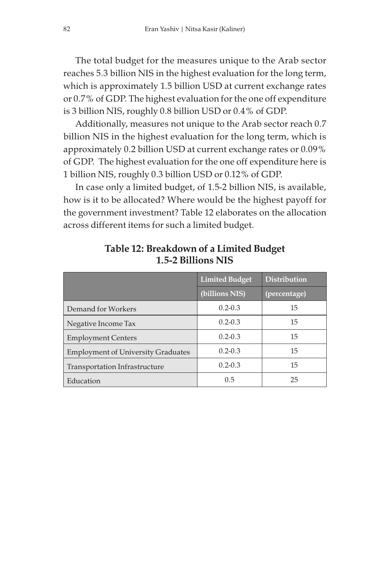The total budget for the measures unique to the Arab sector reaches 5.3 billion NIS in the highest evaluation for the long term, which is approximately 1.5 billion USD at current exchange rates or 0.7% of GDP. The highest evaluation for the one off expenditure is 3 billion NIS, roughly 0.8 billion USD or 0.4% of GDP.

Additionally, measures not unique to the Arab sector reach 0.7 billion NIS in the highest evaluation for the long term, which is approximately 0.2 billion USD at current exchange rates or 0.09% of GDP. The highest evaluation for the one off expenditure here is 1 billion NIS, roughly 0.3 billion USD or 0.12% of GDP.

In case only a limited budget, of 1.5-2 billion NIS, is available, how is it to be allocated? Where would be the highest payoff for the government investment? Table 12 elaborates on the allocation across different items for such a limited budget.

|                                           | <b>Limited Budget</b> | <b>Distribution</b> |
|-------------------------------------------|-----------------------|---------------------|
|                                           | (billions NIS)        | (percentage)        |
| Demand for Workers                        | $0.2 - 0.3$           | 15                  |
| Negative Income Tax                       | $0.2 - 0.3$           | 15                  |
| <b>Employment Centers</b>                 | $0.2 - 0.3$           | 15                  |
| <b>Employment of University Graduates</b> | $0.2 - 0.3$           | 15                  |
| Transportation Infrastructure             | $0.2 - 0.3$           | 15                  |
| Education                                 | 0.5                   | 25                  |

Table 12: Breakdown of a Limited Budget 1.5-2 Billions NIS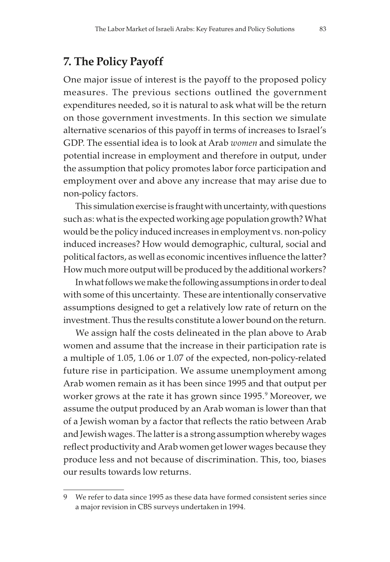# 7. The Policy Payoff

One major issue of interest is the payoff to the proposed policy measures. The previous sections outlined the government expenditures needed, so it is natural to ask what will be the return on those government investments. In this section we simulate alternative scenarios of this payoff in terms of increases to Israel's GDP. The essential idea is to look at Arab women and simulate the potential increase in employment and therefore in output, under the assumption that policy promotes labor force participation and employment over and above any increase that may arise due to non-policy factors.

This simulation exercise is fraught with uncertainty, with questions such as: what is the expected working age population growth? What would be the policy induced increases in employment vs. non-policy induced increases? How would demographic, cultural, social and political factors, as well as economic incentives influence the latter? How much more output will be produced by the additional workers?

In what follows we make the following assumptions in order to deal with some of this uncertainty. These are intentionally conservative assumptions designed to get a relatively low rate of return on the investment. Thus the results constitute a lower bound on the return.

We assign half the costs delineated in the plan above to Arab women and assume that the increase in their participation rate is a multiple of 1.05, 1.06 or 1.07 of the expected, non-policy-related future rise in participation. We assume unemployment among Arab women remain as it has been since 1995 and that output per worker grows at the rate it has grown since 1995. $^{\rm 9}$  Moreover, we assume the output produced by an Arab woman is lower than that of a Jewish woman by a factor that reflects the ratio between Arab and Jewish wages. The latter is a strong assumption whereby wages reflect productivity and Arab women get lower wages because they produce less and not because of discrimination. This, too, biases our results towards low returns.

<sup>9</sup> We refer to data since 1995 as these data have formed consistent series since a major revision in CBS surveys undertaken in 1994.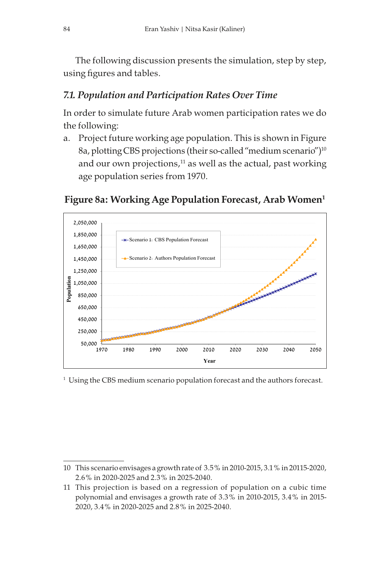The following discussion presents the simulation, step by step, using figures and tables.

# 7.1. Population and Participation Rates Over Time

In order to simulate future Arab women participation rates we do the following:

a. Project future working age population. This is shown in Figure 8a, plotting CBS projections (their so-called "medium scenario")<sup>10</sup> and our own projections, $11$  as well as the actual, past working age population series from 1970.



# Figure 8a: Working Age Population Forecast, Arab Women<sup>1</sup>

 $^{\rm 1}$  Using the CBS medium scenario population forecast and the authors forecast.

<sup>10</sup> This scenario envisages a growth rate of 3.5% in 2010-2015, 3.1% in 20115-2020, 2.6% in 2020-2025 and 2.3% in 2025-2040.

<sup>11</sup> This projection is based on a regression of population on a cubic time polynomial and envisages a growth rate of 3.3% in 2010-2015, 3.4% in 2015- 2020, 3.4% in 2020-2025 and 2.8% in 2025-2040.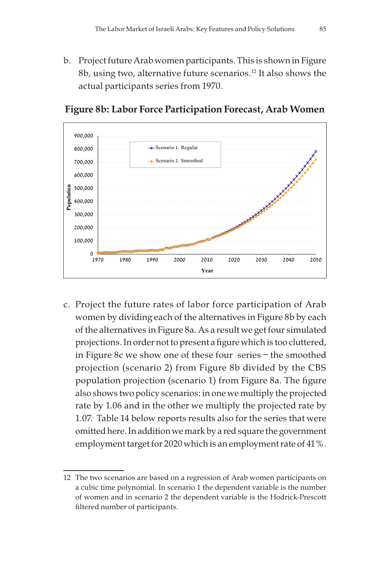b. Project future Arab women participants. This is shown in Figure 8b, using two, alternative future scenarios.12 It also shows the actual participants series from 1970.



Figure 8b: Labor Force Participation Forecast, Arab Women

c. Project the future rates of labor force participation of Arab women by dividing each of the alternatives in Figure 8b by each of the alternatives in Figure 8a. As a result we get four simulated projections. In order not to present a figure which is too cluttered, in Figure 8c we show one of these four series – the smoothed projection (scenario 2) from Figure 8b divided by the CBS population projection (scenario 1) from Figure 8a. The figure also shows two policy scenarios: in one we multiply the projected rate by 1.06 and in the other we multiply the projected rate by 1.07. Table 14 below reports results also for the series that were omitted here. In addition we mark by a red square the government employment target for 2020 which is an employment rate of 41%.

<sup>12</sup> The two scenarios are based on a regression of Arab women participants on a cubic time polynomial. In scenario 1 the dependent variable is the number of women and in scenario 2 the dependent variable is the Hodrick-Prescott filtered number of participants.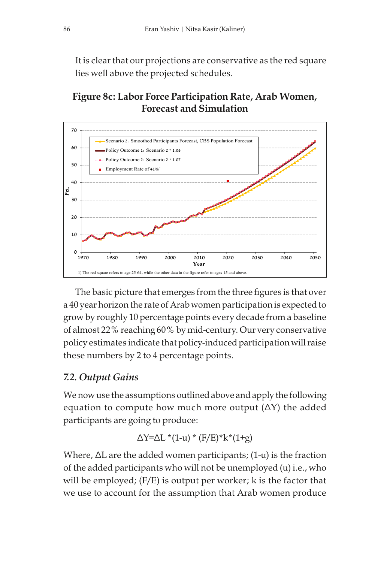It is clear that our projections are conservative as the red square lies well above the projected schedules.

# Figure 8c: Labor Force Participation Rate, Arab Women, Forecast and Simulation



The basic picture that emerges from the three figures is that over a 40 year horizon the rate of Arab women participation is expected to grow by roughly 10 percentage points every decade from a baseline of almost 22% reaching 60% by mid-century. Our very conservative policy estimates indicate that policy-induced participation will raise these numbers by 2 to 4 percentage points.

# 7.2. Output Gains

We now use the assumptions outlined above and apply the following equation to compute how much more output  $(\Delta Y)$  the added participants are going to produce:

$$
\Delta Y = \Delta L * (1-u) * (F/E) * k * (1+g)
$$

Where, ∆L are the added women participants; (1-u) is the fraction of the added participants who will not be unemployed (u) i.e., who will be employed; (F/E) is output per worker; k is the factor that we use to account for the assumption that Arab women produce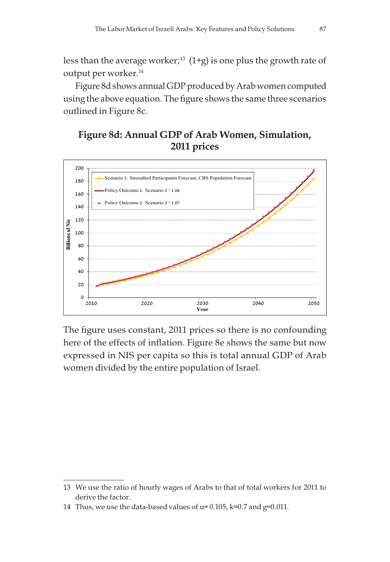less than the average worker;<sup>13</sup> (1+g) is one plus the growth rate of output per worker.<sup>14</sup>

Figure 8d shows annual GDP produced by Arab women computed using the above equation. The figure shows the same three scenarios outlined in Figure 8c.

# Figure 8d: Annual GDP of Arab Women, Simulation, 2011 prices



The figure uses constant, 2011 prices so there is no confounding here of the effects of inflation. Figure 8e shows the same but now expressed in NIS per capita so this is total annual GDP of Arab women divided by the entire population of Israel.

<sup>13</sup> We use the ratio of hourly wages of Arabs to that of total workers for 2011 to derive the factor.

<sup>14</sup> Thus, we use the data-based values of u= 0.105, k=0.7 and g=0.011.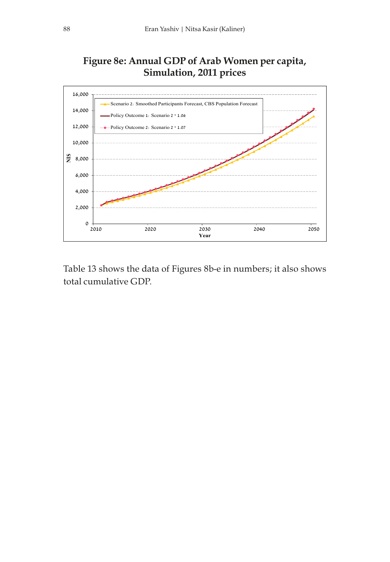# Figure 8e: Annual GDP of Arab Women per capita, Simulation, 2011 prices



Table 13 shows the data of Figures 8b-e in numbers; it also shows total cumulative GDP.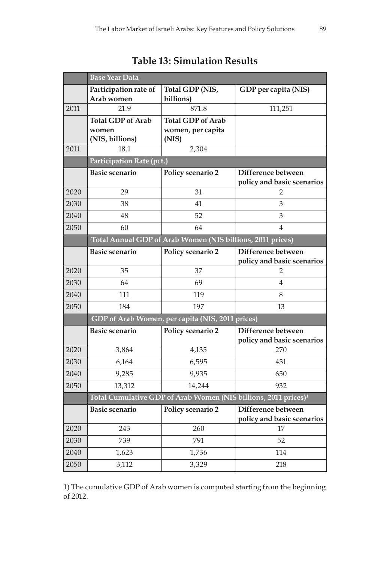|      | <b>Base Year Data</b>                                                       |                                                  |                                                  |  |  |
|------|-----------------------------------------------------------------------------|--------------------------------------------------|--------------------------------------------------|--|--|
|      | Participation rate of                                                       | Total GDP (NIS,                                  | GDP per capita (NIS)                             |  |  |
| 2011 | Arab women<br>21.9                                                          | billions)<br>871.8                               | 111,251                                          |  |  |
|      | <b>Total GDP</b> of Arab                                                    | <b>Total GDP of Arab</b>                         |                                                  |  |  |
|      | women                                                                       | women, per capita                                |                                                  |  |  |
|      | (NIS, billions)                                                             | (NIS)                                            |                                                  |  |  |
| 2011 | 18.1                                                                        | 2,304                                            |                                                  |  |  |
|      | Participation Rate (pct.)                                                   |                                                  |                                                  |  |  |
|      | <b>Basic scenario</b>                                                       | Policy scenario 2                                | Difference between                               |  |  |
|      |                                                                             |                                                  | policy and basic scenarios                       |  |  |
| 2020 | 29                                                                          | 31                                               | 2                                                |  |  |
| 2030 | 38                                                                          | 41                                               | 3                                                |  |  |
| 2040 | 48                                                                          | 52                                               | 3                                                |  |  |
| 2050 | 60                                                                          | 64                                               | 4                                                |  |  |
|      | Total Annual GDP of Arab Women (NIS billions, 2011 prices)                  |                                                  |                                                  |  |  |
|      | <b>Basic scenario</b>                                                       | Policy scenario 2                                | Difference between                               |  |  |
|      |                                                                             |                                                  | policy and basic scenarios                       |  |  |
| 2020 | 35                                                                          | 37                                               | 2                                                |  |  |
| 2030 | 64                                                                          | 69                                               | 4                                                |  |  |
| 2040 | 111                                                                         | 119                                              | 8                                                |  |  |
| 2050 | 184                                                                         | 197                                              | 13                                               |  |  |
|      |                                                                             | GDP of Arab Women, per capita (NIS, 2011 prices) |                                                  |  |  |
|      | <b>Basic scenario</b>                                                       | Policy scenario 2                                | Difference between                               |  |  |
|      |                                                                             |                                                  | policy and basic scenarios                       |  |  |
| 2020 | 3,864                                                                       | 4,135                                            | 270                                              |  |  |
| 2030 | 6,164                                                                       | 6,595                                            | 431                                              |  |  |
| 2040 | 9,285                                                                       | 9,935                                            | 650                                              |  |  |
| 2050 | 13,312                                                                      | 14,244                                           | 932                                              |  |  |
|      | Total Cumulative GDP of Arab Women (NIS billions, 2011 prices) <sup>1</sup> |                                                  |                                                  |  |  |
|      | <b>Basic scenario</b>                                                       | Policy scenario 2                                | Difference between<br>policy and basic scenarios |  |  |
| 2020 | 243                                                                         | 260                                              | 17                                               |  |  |
| 2030 | 739                                                                         | 791                                              | 52                                               |  |  |
| 2040 | 1,623                                                                       | 1,736                                            | 114                                              |  |  |
| 2050 | 3,112                                                                       | 3,329                                            | 218                                              |  |  |

Table 13: Simulation Results

1) The cumulative GDP of Arab women is computed starting from the beginning of 2012.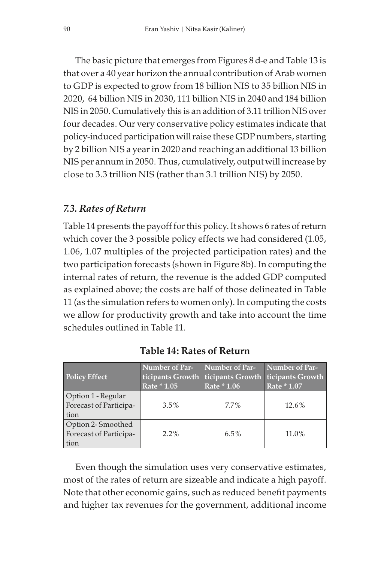The basic picture that emerges from Figures 8 d-e and Table 13 is that over a 40 year horizon the annual contribution of Arab women to GDP is expected to grow from 18 billion NIS to 35 billion NIS in 2020, 64 billion NIS in 2030, 111 billion NIS in 2040 and 184 billion NIS in 2050. Cumulatively this is an addition of 3.11 trillion NIS over four decades. Our very conservative policy estimates indicate that policy-induced participation will raise these GDP numbers, starting by 2 billion NIS a year in 2020 and reaching an additional 13 billion NIS per annum in 2050. Thus, cumulatively, output will increase by close to 3.3 trillion NIS (rather than 3.1 trillion NIS) by 2050.

#### 7.3. Rates of Return

Table 14 presents the payoff for this policy. It shows 6 rates of return which cover the 3 possible policy effects we had considered (1.05, 1.06, 1.07 multiples of the projected participation rates) and the two participation forecasts (shown in Figure 8b). In computing the internal rates of return, the revenue is the added GDP computed as explained above; the costs are half of those delineated in Table 11 (as the simulation refers to women only). In computing the costs we allow for productivity growth and take into account the time schedules outlined in Table 11.

| <b>Policy Effect</b>                                 | <b>Number of Par-</b><br>Rate * 1.05 | Number of Par-<br>ticipants Growth ticipants Growth<br>Rate * 1.06 | Number of Par-<br>ticipants Growth<br>Rate * 1.07 |
|------------------------------------------------------|--------------------------------------|--------------------------------------------------------------------|---------------------------------------------------|
| Option 1 - Regular<br>Forecast of Participa-<br>tion | $3.5\%$                              | $7.7\%$                                                            | $12.6\%$                                          |
| Option 2-Smoothed<br>Forecast of Participa-<br>tion  | $2.2\%$                              | $6.5\%$                                                            | 11.0%                                             |

Table 14: Rates of Return

Even though the simulation uses very conservative estimates, most of the rates of return are sizeable and indicate a high payoff. Note that other economic gains, such as reduced benefit payments and higher tax revenues for the government, additional income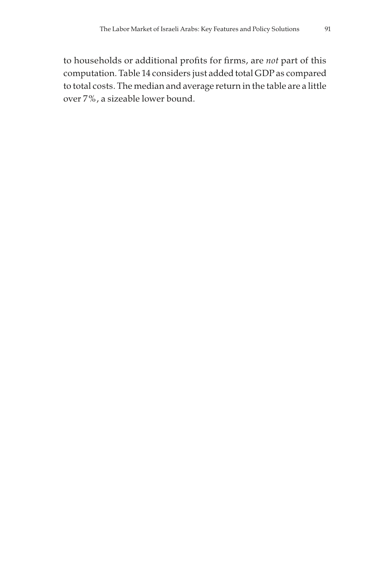to households or additional profits for firms, are not part of this computation. Table 14 considers just added total GDP as compared to total costs. The median and average return in the table are a little over 7%, a sizeable lower bound.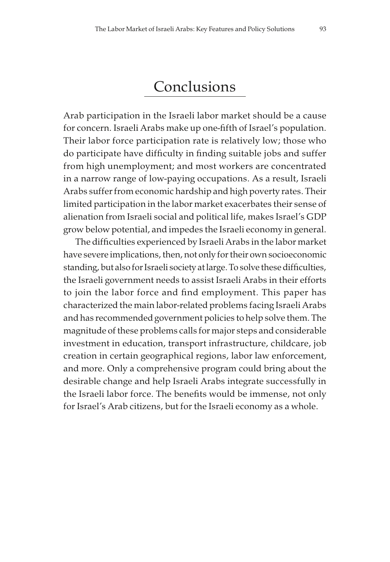# Conclusions

Arab participation in the Israeli labor market should be a cause for concern. Israeli Arabs make up one-fifth of Israel's population. Their labor force participation rate is relatively low; those who do participate have difficulty in finding suitable jobs and suffer from high unemployment; and most workers are concentrated in a narrow range of low-paying occupations. As a result, Israeli Arabs suffer from economic hardship and high poverty rates. Their limited participation in the labor market exacerbates their sense of alienation from Israeli social and political life, makes Israel's GDP grow below potential, and impedes the Israeli economy in general.

The difficulties experienced by Israeli Arabs in the labor market have severe implications, then, not only for their own socioeconomic standing, but also for Israeli society at large. To solve these difficulties, the Israeli government needs to assist Israeli Arabs in their efforts to join the labor force and find employment. This paper has characterized the main labor-related problems facing Israeli Arabs and has recommended government policies to help solve them. The magnitude of these problems calls for major steps and considerable investment in education, transport infrastructure, childcare, job creation in certain geographical regions, labor law enforcement, and more. Only a comprehensive program could bring about the desirable change and help Israeli Arabs integrate successfully in the Israeli labor force. The benefits would be immense, not only for Israel's Arab citizens, but for the Israeli economy as a whole.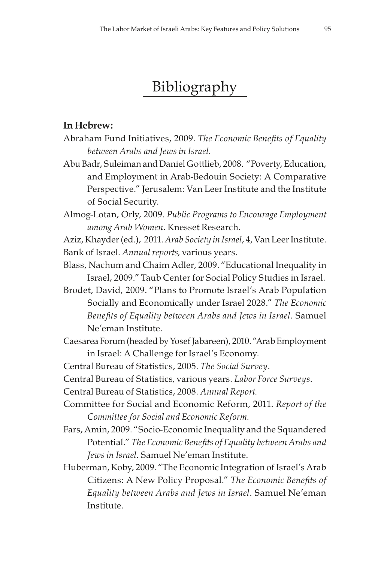# Bibliography

### In Hebrew:

- Abraham Fund Initiatives, 2009. The Economic Benefits of Equality between Arabs and Jews in Israel.
- Abu Badr, Suleiman and Daniel Gottlieb, 2008. "Poverty, Education, and Employment in Arab-Bedouin Society: A Comparative Perspective." Jerusalem: Van Leer Institute and the Institute of Social Security.
- Almog-Lotan, Orly, 2009. Public Programs to Encourage Employment among Arab Women. Knesset Research.
- Aziz, Khayder (ed.), 2011. Arab Society in Israel, 4, Van Leer Institute. Bank of Israel. Annual reports, various years.
- Blass, Nachum and Chaim Adler, 2009. "Educational Inequality in Israel, 2009." Taub Center for Social Policy Studies in Israel.
- Brodet, David, 2009. "Plans to Promote Israel's Arab Population Socially and Economically under Israel 2028." The Economic Benefits of Equality between Arabs and Jews in Israel. Samuel Ne'eman Institute.
- Caesarea Forum (headed by Yosef Jabareen), 2010. "Arab Employment in Israel: A Challenge for Israel's Economy.

Central Bureau of Statistics, 2005. The Social Survey.

Central Bureau of Statistics, various years. Labor Force Surveys.

Central Bureau of Statistics, 2008. Annual Report.

- Committee for Social and Economic Reform, 2011. Report of the Committee for Social and Economic Reform.
- Fars, Amin, 2009. "Socio-Economic Inequality and the Squandered Potential." The Economic Benefits of Equality between Arabs and Jews in Israel. Samuel Ne'eman Institute.
- Huberman, Koby, 2009. "The Economic Integration of Israel's Arab Citizens: A New Policy Proposal." The Economic Benefits of Equality between Arabs and Jews in Israel. Samuel Ne'eman Institute.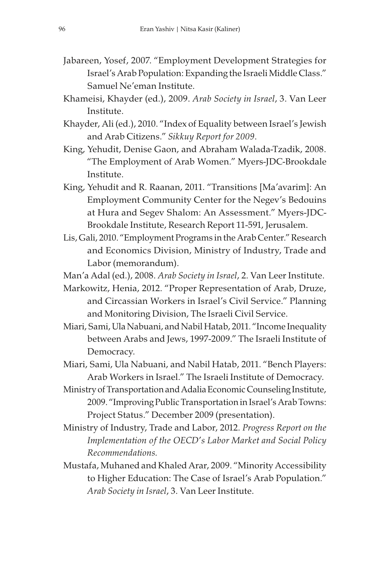- Jabareen, Yosef, 2007. "Employment Development Strategies for Israel's Arab Population: Expanding the Israeli Middle Class." Samuel Ne'eman Institute.
- Khameisi, Khayder (ed.), 2009. Arab Society in Israel, 3. Van Leer Institute.
- Khayder, Ali (ed.), 2010. "Index of Equality between Israel's Jewish and Arab Citizens." Sikkuy Report for 2009.
- King, Yehudit, Denise Gaon, and Abraham Walada-Tzadik, 2008. "The Employment of Arab Women." Myers-JDC-Brookdale Institute.
- King, Yehudit and R. Raanan, 2011. "Transitions [Ma'avarim]: An Employment Community Center for the Negev's Bedouins at Hura and Segev Shalom: An Assessment." Myers-JDC-Brookdale Institute, Research Report 11-591, Jerusalem.
- Lis, Gali, 2010. "Employment Programs in the Arab Center." Research and Economics Division, Ministry of Industry, Trade and Labor (memorandum).

Man'a Adal (ed.), 2008. Arab Society in Israel, 2. Van Leer Institute.

Markowitz, Henia, 2012. "Proper Representation of Arab, Druze, and Circassian Workers in Israel's Civil Service." Planning and Monitoring Division, The Israeli Civil Service.

- Miari, Sami, Ula Nabuani, and Nabil Hatab, 2011. "Income Inequality between Arabs and Jews, 1997-2009." The Israeli Institute of Democracy.
- Miari, Sami, Ula Nabuani, and Nabil Hatab, 2011. "Bench Players: Arab Workers in Israel." The Israeli Institute of Democracy.
- Ministry of Transportation and Adalia Economic Counseling Institute, 2009. "Improving Public Transportation in Israel's Arab Towns: Project Status." December 2009 (presentation).
- Ministry of Industry, Trade and Labor, 2012. Progress Report on the Implementation of the OECD's Labor Market and Social Policy Recommendations.
- Mustafa, Muhaned and Khaled Arar, 2009. "Minority Accessibility to Higher Education: The Case of Israel's Arab Population." Arab Society in Israel, 3. Van Leer Institute.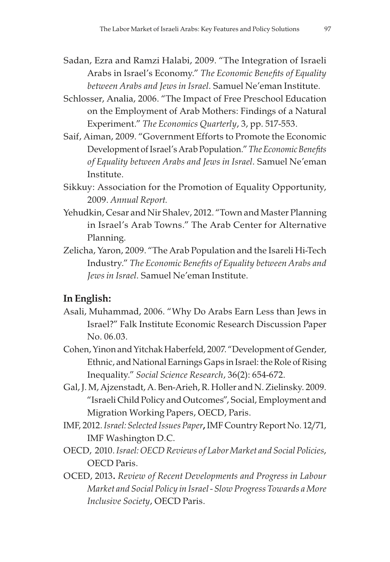- Sadan, Ezra and Ramzi Halabi, 2009. "The Integration of Israeli Arabs in Israel's Economy." The Economic Benefits of Equality between Arabs and Jews in Israel. Samuel Ne'eman Institute.
- Schlosser, Analia, 2006. "The Impact of Free Preschool Education on the Employment of Arab Mothers: Findings of a Natural Experiment." The Economics Quarterly, 3, pp. 517-553.
- Saif, Aiman, 2009. "Government Efforts to Promote the Economic Development of Israel's Arab Population." The Economic Benefits of Equality between Arabs and Jews in Israel. Samuel Ne'eman Institute.
- Sikkuy: Association for the Promotion of Equality Opportunity, 2009. Annual Report.
- Yehudkin, Cesar and Nir Shalev, 2012. "Town and Master Planning in Israel's Arab Towns." The Arab Center for Alternative Planning.
- Zelicha, Yaron, 2009. "The Arab Population and the Isareli Hi-Tech Industry." The Economic Benefits of Equality between Arabs and Jews in Israel. Samuel Ne'eman Institute.

#### In English:

- Asali, Muhammad, 2006. "Why Do Arabs Earn Less than Jews in Israel?" Falk Institute Economic Research Discussion Paper No. 06.03.
- Cohen, Yinon and Yitchak Haberfeld, 2007. "Development of Gender, Ethnic, and National Earnings Gaps in Israel: the Role of Rising Inequality." Social Science Research, 36(2): 654-672.
- Gal, J. M, Ajzenstadt, A. Ben-Arieh, R. Holler and N. Zielinsky. 2009. "Israeli Child Policy and Outcomes", Social, Employment and Migration Working Papers, OECD, Paris.
- IMF, 2012. Israel: Selected Issues Paper, IMF Country Report No. 12/71, IMF Washington D.C.
- OECD, 2010. Israel: OECD Reviews of Labor Market and Social Policies, OECD Paris.
- OCED, 2013. Review of Recent Developments and Progress in Labour Market and Social Policy in Israel - Slow Progress Towards a More Inclusive Society, OECD Paris.